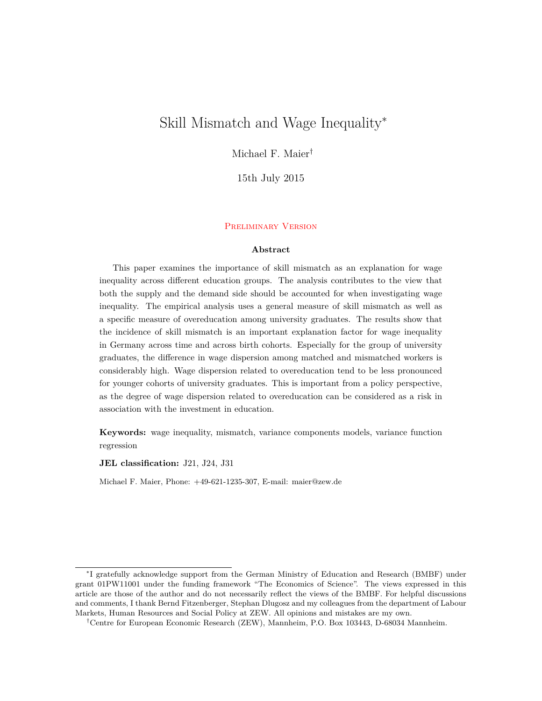# Skill Mismatch and Wage Inequality<sup>∗</sup>

Michael F. Maier†

15th July 2015

#### Preliminary Version

#### **Abstract**

This paper examines the importance of skill mismatch as an explanation for wage inequality across different education groups. The analysis contributes to the view that both the supply and the demand side should be accounted for when investigating wage inequality. The empirical analysis uses a general measure of skill mismatch as well as a specific measure of overeducation among university graduates. The results show that the incidence of skill mismatch is an important explanation factor for wage inequality in Germany across time and across birth cohorts. Especially for the group of university graduates, the difference in wage dispersion among matched and mismatched workers is considerably high. Wage dispersion related to overeducation tend to be less pronounced for younger cohorts of university graduates. This is important from a policy perspective, as the degree of wage dispersion related to overeducation can be considered as a risk in association with the investment in education.

**Keywords:** wage inequality, mismatch, variance components models, variance function regression

**JEL classification:** J21, J24, J31

Michael F. Maier, Phone: +49-621-1235-307, E-mail: maier@zew.de

<sup>∗</sup> I gratefully acknowledge support from the German Ministry of Education and Research (BMBF) under grant 01PW11001 under the funding framework "The Economics of Science". The views expressed in this article are those of the author and do not necessarily reflect the views of the BMBF. For helpful discussions and comments, I thank Bernd Fitzenberger, Stephan Dlugosz and my colleagues from the department of Labour Markets, Human Resources and Social Policy at ZEW. All opinions and mistakes are my own.

<sup>†</sup>Centre for European Economic Research (ZEW), Mannheim, P.O. Box 103443, D-68034 Mannheim.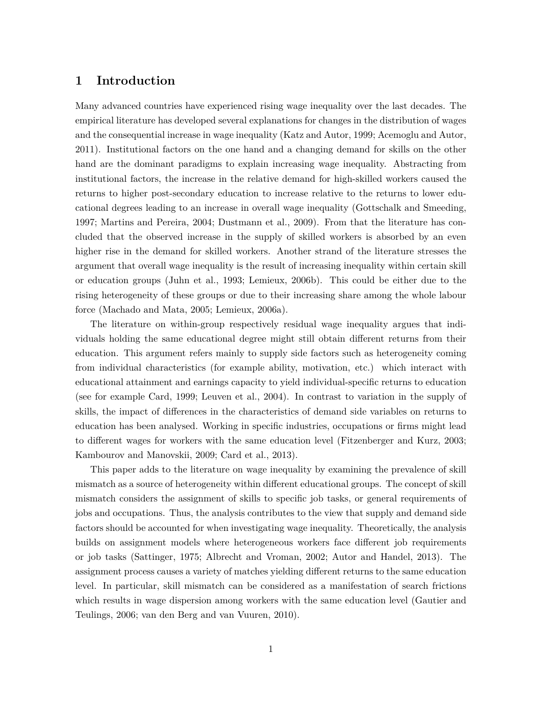#### **1 Introduction**

Many advanced countries have experienced rising wage inequality over the last decades. The empirical literature has developed several explanations for changes in the distribution of wages and the consequential increase in wage inequality (Katz and Autor, 1999; Acemoglu and Autor, 2011). Institutional factors on the one hand and a changing demand for skills on the other hand are the dominant paradigms to explain increasing wage inequality. Abstracting from institutional factors, the increase in the relative demand for high-skilled workers caused the returns to higher post-secondary education to increase relative to the returns to lower educational degrees leading to an increase in overall wage inequality (Gottschalk and Smeeding, 1997; Martins and Pereira, 2004; Dustmann et al., 2009). From that the literature has concluded that the observed increase in the supply of skilled workers is absorbed by an even higher rise in the demand for skilled workers. Another strand of the literature stresses the argument that overall wage inequality is the result of increasing inequality within certain skill or education groups (Juhn et al., 1993; Lemieux, 2006b). This could be either due to the rising heterogeneity of these groups or due to their increasing share among the whole labour force (Machado and Mata, 2005; Lemieux, 2006a).

The literature on within-group respectively residual wage inequality argues that individuals holding the same educational degree might still obtain different returns from their education. This argument refers mainly to supply side factors such as heterogeneity coming from individual characteristics (for example ability, motivation, etc.) which interact with educational attainment and earnings capacity to yield individual-specific returns to education (see for example Card, 1999; Leuven et al., 2004). In contrast to variation in the supply of skills, the impact of differences in the characteristics of demand side variables on returns to education has been analysed. Working in specific industries, occupations or firms might lead to different wages for workers with the same education level (Fitzenberger and Kurz, 2003; Kambourov and Manovskii, 2009; Card et al., 2013).

This paper adds to the literature on wage inequality by examining the prevalence of skill mismatch as a source of heterogeneity within different educational groups. The concept of skill mismatch considers the assignment of skills to specific job tasks, or general requirements of jobs and occupations. Thus, the analysis contributes to the view that supply and demand side factors should be accounted for when investigating wage inequality. Theoretically, the analysis builds on assignment models where heterogeneous workers face different job requirements or job tasks (Sattinger, 1975; Albrecht and Vroman, 2002; Autor and Handel, 2013). The assignment process causes a variety of matches yielding different returns to the same education level. In particular, skill mismatch can be considered as a manifestation of search frictions which results in wage dispersion among workers with the same education level (Gautier and Teulings, 2006; van den Berg and van Vuuren, 2010).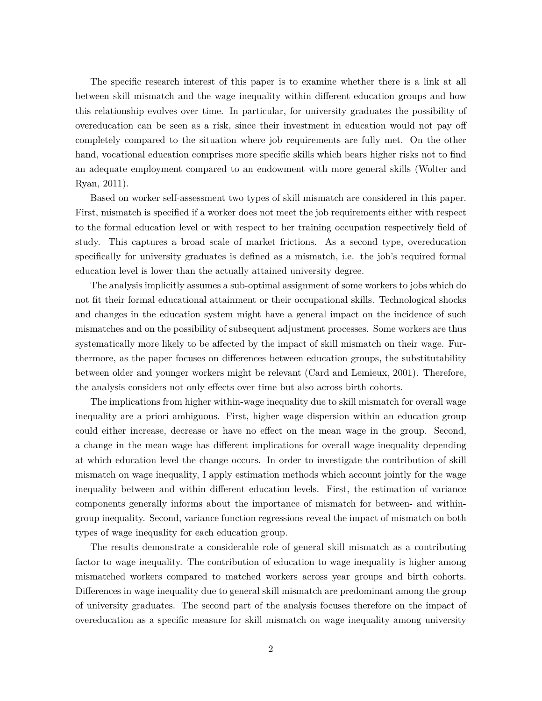The specific research interest of this paper is to examine whether there is a link at all between skill mismatch and the wage inequality within different education groups and how this relationship evolves over time. In particular, for university graduates the possibility of overeducation can be seen as a risk, since their investment in education would not pay off completely compared to the situation where job requirements are fully met. On the other hand, vocational education comprises more specific skills which bears higher risks not to find an adequate employment compared to an endowment with more general skills (Wolter and Ryan, 2011).

Based on worker self-assessment two types of skill mismatch are considered in this paper. First, mismatch is specified if a worker does not meet the job requirements either with respect to the formal education level or with respect to her training occupation respectively field of study. This captures a broad scale of market frictions. As a second type, overeducation specifically for university graduates is defined as a mismatch, i.e. the job's required formal education level is lower than the actually attained university degree.

The analysis implicitly assumes a sub-optimal assignment of some workers to jobs which do not fit their formal educational attainment or their occupational skills. Technological shocks and changes in the education system might have a general impact on the incidence of such mismatches and on the possibility of subsequent adjustment processes. Some workers are thus systematically more likely to be affected by the impact of skill mismatch on their wage. Furthermore, as the paper focuses on differences between education groups, the substitutability between older and younger workers might be relevant (Card and Lemieux, 2001). Therefore, the analysis considers not only effects over time but also across birth cohorts.

The implications from higher within-wage inequality due to skill mismatch for overall wage inequality are a priori ambiguous. First, higher wage dispersion within an education group could either increase, decrease or have no effect on the mean wage in the group. Second, a change in the mean wage has different implications for overall wage inequality depending at which education level the change occurs. In order to investigate the contribution of skill mismatch on wage inequality, I apply estimation methods which account jointly for the wage inequality between and within different education levels. First, the estimation of variance components generally informs about the importance of mismatch for between- and withingroup inequality. Second, variance function regressions reveal the impact of mismatch on both types of wage inequality for each education group.

The results demonstrate a considerable role of general skill mismatch as a contributing factor to wage inequality. The contribution of education to wage inequality is higher among mismatched workers compared to matched workers across year groups and birth cohorts. Differences in wage inequality due to general skill mismatch are predominant among the group of university graduates. The second part of the analysis focuses therefore on the impact of overeducation as a specific measure for skill mismatch on wage inequality among university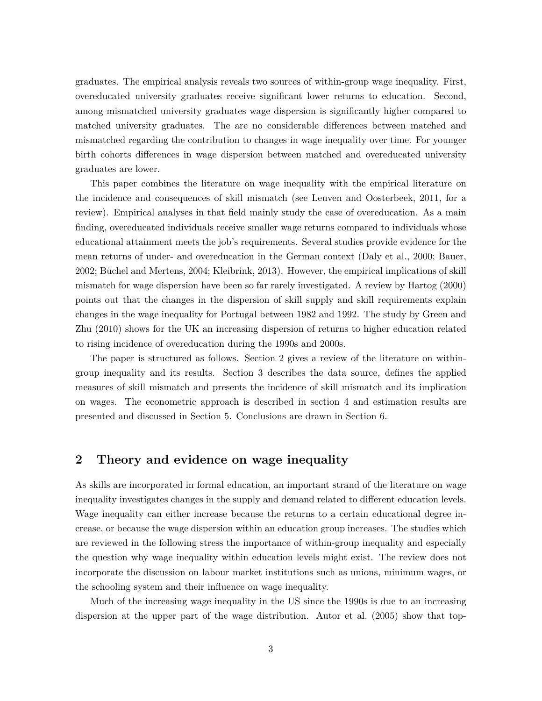graduates. The empirical analysis reveals two sources of within-group wage inequality. First, overeducated university graduates receive significant lower returns to education. Second, among mismatched university graduates wage dispersion is significantly higher compared to matched university graduates. The are no considerable differences between matched and mismatched regarding the contribution to changes in wage inequality over time. For younger birth cohorts differences in wage dispersion between matched and overeducated university graduates are lower.

This paper combines the literature on wage inequality with the empirical literature on the incidence and consequences of skill mismatch (see Leuven and Oosterbeek, 2011, for a review). Empirical analyses in that field mainly study the case of overeducation. As a main finding, overeducated individuals receive smaller wage returns compared to individuals whose educational attainment meets the job's requirements. Several studies provide evidence for the mean returns of under- and overeducation in the German context (Daly et al., 2000; Bauer, 2002; Büchel and Mertens, 2004; Kleibrink, 2013). However, the empirical implications of skill mismatch for wage dispersion have been so far rarely investigated. A review by Hartog (2000) points out that the changes in the dispersion of skill supply and skill requirements explain changes in the wage inequality for Portugal between 1982 and 1992. The study by Green and Zhu (2010) shows for the UK an increasing dispersion of returns to higher education related to rising incidence of overeducation during the 1990s and 2000s.

The paper is structured as follows. Section 2 gives a review of the literature on withingroup inequality and its results. Section 3 describes the data source, defines the applied measures of skill mismatch and presents the incidence of skill mismatch and its implication on wages. The econometric approach is described in section 4 and estimation results are presented and discussed in Section 5. Conclusions are drawn in Section 6.

### **2 Theory and evidence on wage inequality**

As skills are incorporated in formal education, an important strand of the literature on wage inequality investigates changes in the supply and demand related to different education levels. Wage inequality can either increase because the returns to a certain educational degree increase, or because the wage dispersion within an education group increases. The studies which are reviewed in the following stress the importance of within-group inequality and especially the question why wage inequality within education levels might exist. The review does not incorporate the discussion on labour market institutions such as unions, minimum wages, or the schooling system and their influence on wage inequality.

Much of the increasing wage inequality in the US since the 1990s is due to an increasing dispersion at the upper part of the wage distribution. Autor et al. (2005) show that top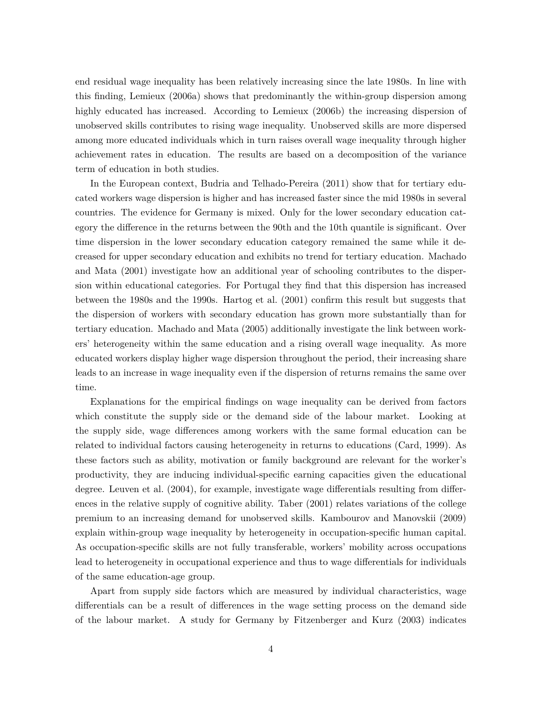end residual wage inequality has been relatively increasing since the late 1980s. In line with this finding, Lemieux (2006a) shows that predominantly the within-group dispersion among highly educated has increased. According to Lemieux (2006b) the increasing dispersion of unobserved skills contributes to rising wage inequality. Unobserved skills are more dispersed among more educated individuals which in turn raises overall wage inequality through higher achievement rates in education. The results are based on a decomposition of the variance term of education in both studies.

In the European context, Budria and Telhado-Pereira (2011) show that for tertiary educated workers wage dispersion is higher and has increased faster since the mid 1980s in several countries. The evidence for Germany is mixed. Only for the lower secondary education category the difference in the returns between the 90th and the 10th quantile is significant. Over time dispersion in the lower secondary education category remained the same while it decreased for upper secondary education and exhibits no trend for tertiary education. Machado and Mata (2001) investigate how an additional year of schooling contributes to the dispersion within educational categories. For Portugal they find that this dispersion has increased between the 1980s and the 1990s. Hartog et al. (2001) confirm this result but suggests that the dispersion of workers with secondary education has grown more substantially than for tertiary education. Machado and Mata (2005) additionally investigate the link between workers' heterogeneity within the same education and a rising overall wage inequality. As more educated workers display higher wage dispersion throughout the period, their increasing share leads to an increase in wage inequality even if the dispersion of returns remains the same over time.

Explanations for the empirical findings on wage inequality can be derived from factors which constitute the supply side or the demand side of the labour market. Looking at the supply side, wage differences among workers with the same formal education can be related to individual factors causing heterogeneity in returns to educations (Card, 1999). As these factors such as ability, motivation or family background are relevant for the worker's productivity, they are inducing individual-specific earning capacities given the educational degree. Leuven et al. (2004), for example, investigate wage differentials resulting from differences in the relative supply of cognitive ability. Taber (2001) relates variations of the college premium to an increasing demand for unobserved skills. Kambourov and Manovskii (2009) explain within-group wage inequality by heterogeneity in occupation-specific human capital. As occupation-specific skills are not fully transferable, workers' mobility across occupations lead to heterogeneity in occupational experience and thus to wage differentials for individuals of the same education-age group.

Apart from supply side factors which are measured by individual characteristics, wage differentials can be a result of differences in the wage setting process on the demand side of the labour market. A study for Germany by Fitzenberger and Kurz (2003) indicates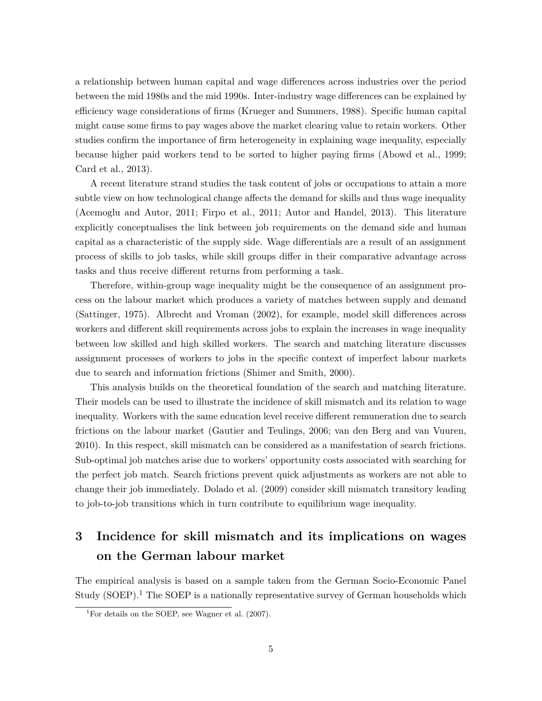a relationship between human capital and wage differences across industries over the period between the mid 1980s and the mid 1990s. Inter-industry wage differences can be explained by efficiency wage considerations of firms (Krueger and Summers, 1988). Specific human capital might cause some firms to pay wages above the market clearing value to retain workers. Other studies confirm the importance of firm heterogeneity in explaining wage inequality, especially because higher paid workers tend to be sorted to higher paying firms (Abowd et al., 1999; Card et al., 2013).

A recent literature strand studies the task content of jobs or occupations to attain a more subtle view on how technological change affects the demand for skills and thus wage inequality (Acemoglu and Autor, 2011; Firpo et al., 2011; Autor and Handel, 2013). This literature explicitly conceptualises the link between job requirements on the demand side and human capital as a characteristic of the supply side. Wage differentials are a result of an assignment process of skills to job tasks, while skill groups differ in their comparative advantage across tasks and thus receive different returns from performing a task.

Therefore, within-group wage inequality might be the consequence of an assignment process on the labour market which produces a variety of matches between supply and demand (Sattinger, 1975). Albrecht and Vroman (2002), for example, model skill differences across workers and different skill requirements across jobs to explain the increases in wage inequality between low skilled and high skilled workers. The search and matching literature discusses assignment processes of workers to jobs in the specific context of imperfect labour markets due to search and information frictions (Shimer and Smith, 2000).

This analysis builds on the theoretical foundation of the search and matching literature. Their models can be used to illustrate the incidence of skill mismatch and its relation to wage inequality. Workers with the same education level receive different remuneration due to search frictions on the labour market (Gautier and Teulings, 2006; van den Berg and van Vuuren, 2010). In this respect, skill mismatch can be considered as a manifestation of search frictions. Sub-optimal job matches arise due to workers' opportunity costs associated with searching for the perfect job match. Search frictions prevent quick adjustments as workers are not able to change their job immediately. Dolado et al. (2009) consider skill mismatch transitory leading to job-to-job transitions which in turn contribute to equilibrium wage inequality.

# **3 Incidence for skill mismatch and its implications on wages on the German labour market**

The empirical analysis is based on a sample taken from the German Socio-Economic Panel Study (SOEP).<sup>1</sup> The SOEP is a nationally representative survey of German households which

<sup>&</sup>lt;sup>1</sup>For details on the SOEP, see Wagner et al.  $(2007)$ .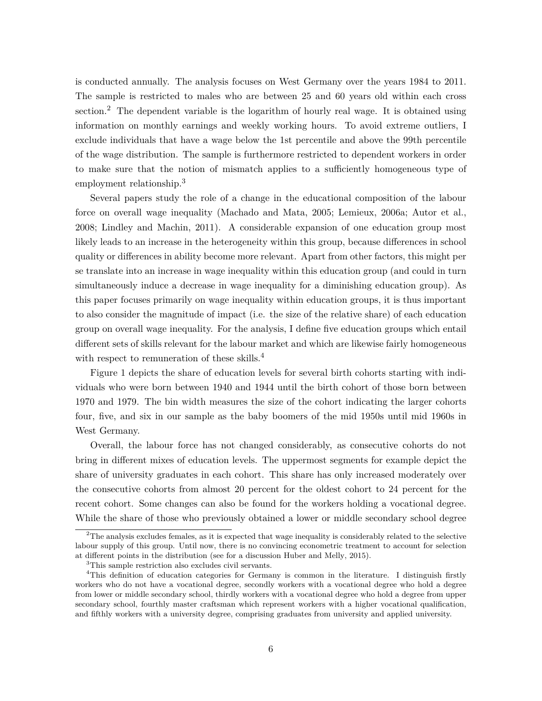is conducted annually. The analysis focuses on West Germany over the years 1984 to 2011. The sample is restricted to males who are between 25 and 60 years old within each cross section.<sup>2</sup> The dependent variable is the logarithm of hourly real wage. It is obtained using information on monthly earnings and weekly working hours. To avoid extreme outliers, I exclude individuals that have a wage below the 1st percentile and above the 99th percentile of the wage distribution. The sample is furthermore restricted to dependent workers in order to make sure that the notion of mismatch applies to a sufficiently homogeneous type of employment relationship.<sup>3</sup>

Several papers study the role of a change in the educational composition of the labour force on overall wage inequality (Machado and Mata, 2005; Lemieux, 2006a; Autor et al., 2008; Lindley and Machin, 2011). A considerable expansion of one education group most likely leads to an increase in the heterogeneity within this group, because differences in school quality or differences in ability become more relevant. Apart from other factors, this might per se translate into an increase in wage inequality within this education group (and could in turn simultaneously induce a decrease in wage inequality for a diminishing education group). As this paper focuses primarily on wage inequality within education groups, it is thus important to also consider the magnitude of impact (i.e. the size of the relative share) of each education group on overall wage inequality. For the analysis, I define five education groups which entail different sets of skills relevant for the labour market and which are likewise fairly homogeneous with respect to remuneration of these skills.<sup>4</sup>

Figure 1 depicts the share of education levels for several birth cohorts starting with individuals who were born between 1940 and 1944 until the birth cohort of those born between 1970 and 1979. The bin width measures the size of the cohort indicating the larger cohorts four, five, and six in our sample as the baby boomers of the mid 1950s until mid 1960s in West Germany.

Overall, the labour force has not changed considerably, as consecutive cohorts do not bring in different mixes of education levels. The uppermost segments for example depict the share of university graduates in each cohort. This share has only increased moderately over the consecutive cohorts from almost 20 percent for the oldest cohort to 24 percent for the recent cohort. Some changes can also be found for the workers holding a vocational degree. While the share of those who previously obtained a lower or middle secondary school degree

<sup>2</sup>The analysis excludes females, as it is expected that wage inequality is considerably related to the selective labour supply of this group. Until now, there is no convincing econometric treatment to account for selection at different points in the distribution (see for a discussion Huber and Melly, 2015).

<sup>3</sup>This sample restriction also excludes civil servants.

<sup>4</sup>This definition of education categories for Germany is common in the literature. I distinguish firstly workers who do not have a vocational degree, secondly workers with a vocational degree who hold a degree from lower or middle secondary school, thirdly workers with a vocational degree who hold a degree from upper secondary school, fourthly master craftsman which represent workers with a higher vocational qualification, and fifthly workers with a university degree, comprising graduates from university and applied university.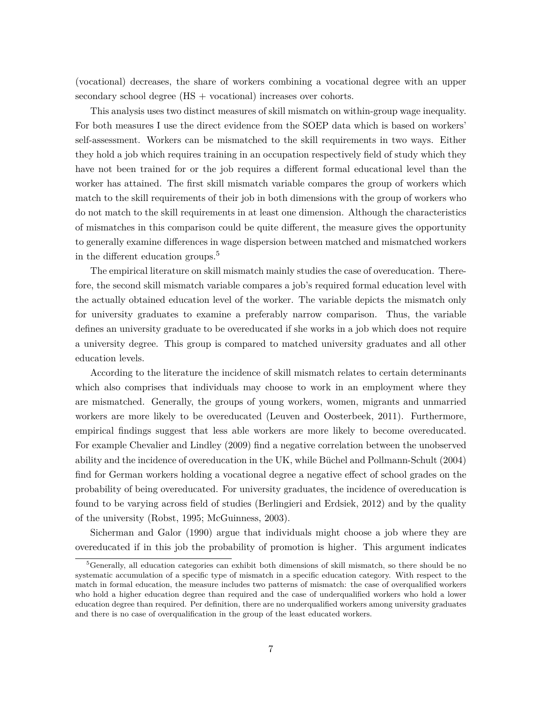(vocational) decreases, the share of workers combining a vocational degree with an upper secondary school degree (HS + vocational) increases over cohorts.

This analysis uses two distinct measures of skill mismatch on within-group wage inequality. For both measures I use the direct evidence from the SOEP data which is based on workers' self-assessment. Workers can be mismatched to the skill requirements in two ways. Either they hold a job which requires training in an occupation respectively field of study which they have not been trained for or the job requires a different formal educational level than the worker has attained. The first skill mismatch variable compares the group of workers which match to the skill requirements of their job in both dimensions with the group of workers who do not match to the skill requirements in at least one dimension. Although the characteristics of mismatches in this comparison could be quite different, the measure gives the opportunity to generally examine differences in wage dispersion between matched and mismatched workers in the different education groups.<sup>5</sup>

The empirical literature on skill mismatch mainly studies the case of overeducation. Therefore, the second skill mismatch variable compares a job's required formal education level with the actually obtained education level of the worker. The variable depicts the mismatch only for university graduates to examine a preferably narrow comparison. Thus, the variable defines an university graduate to be overeducated if she works in a job which does not require a university degree. This group is compared to matched university graduates and all other education levels.

According to the literature the incidence of skill mismatch relates to certain determinants which also comprises that individuals may choose to work in an employment where they are mismatched. Generally, the groups of young workers, women, migrants and unmarried workers are more likely to be overeducated (Leuven and Oosterbeek, 2011). Furthermore, empirical findings suggest that less able workers are more likely to become overeducated. For example Chevalier and Lindley (2009) find a negative correlation between the unobserved ability and the incidence of overeducation in the UK, while Büchel and Pollmann-Schult (2004) find for German workers holding a vocational degree a negative effect of school grades on the probability of being overeducated. For university graduates, the incidence of overeducation is found to be varying across field of studies (Berlingieri and Erdsiek, 2012) and by the quality of the university (Robst, 1995; McGuinness, 2003).

Sicherman and Galor (1990) argue that individuals might choose a job where they are overeducated if in this job the probability of promotion is higher. This argument indicates

<sup>5</sup>Generally, all education categories can exhibit both dimensions of skill mismatch, so there should be no systematic accumulation of a specific type of mismatch in a specific education category. With respect to the match in formal education, the measure includes two patterns of mismatch: the case of overqualified workers who hold a higher education degree than required and the case of underqualified workers who hold a lower education degree than required. Per definition, there are no underqualified workers among university graduates and there is no case of overqualification in the group of the least educated workers.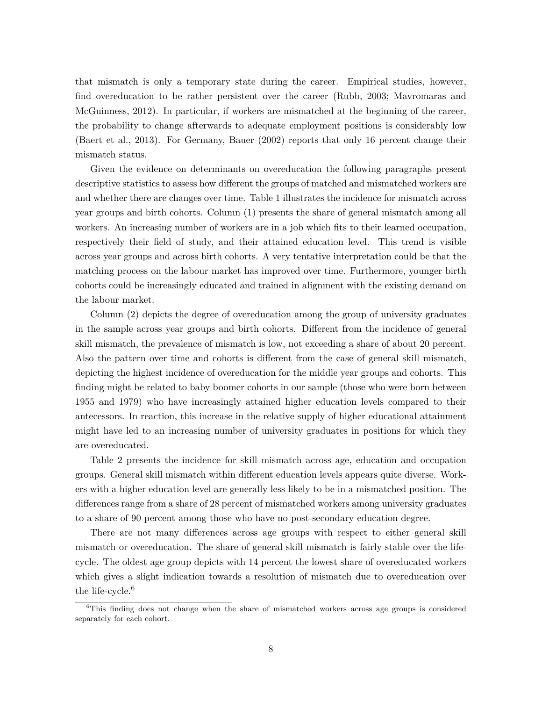that mismatch is only a temporary state during the career. Empirical studies, however, find overeducation to be rather persistent over the career (Rubb, 2003; Mavromaras and McGuinness, 2012). In particular, if workers are mismatched at the beginning of the career, the probability to change afterwards to adequate employment positions is considerably low (Baert et al., 2013). For Germany, Bauer (2002) reports that only 16 percent change their mismatch status.

Given the evidence on determinants on overeducation the following paragraphs present descriptive statistics to assess how different the groups of matched and mismatched workers are and whether there are changes over time. Table 1 illustrates the incidence for mismatch across year groups and birth cohorts. Column (1) presents the share of general mismatch among all workers. An increasing number of workers are in a job which fits to their learned occupation, respectively their field of study, and their attained education level. This trend is visible across year groups and across birth cohorts. A very tentative interpretation could be that the matching process on the labour market has improved over time. Furthermore, younger birth cohorts could be increasingly educated and trained in alignment with the existing demand on the labour market.

Column (2) depicts the degree of overeducation among the group of university graduates in the sample across year groups and birth cohorts. Different from the incidence of general skill mismatch, the prevalence of mismatch is low, not exceeding a share of about 20 percent. Also the pattern over time and cohorts is different from the case of general skill mismatch, depicting the highest incidence of overeducation for the middle year groups and cohorts. This finding might be related to baby boomer cohorts in our sample (those who were born between 1955 and 1979) who have increasingly attained higher education levels compared to their antecessors. In reaction, this increase in the relative supply of higher educational attainment might have led to an increasing number of university graduates in positions for which they are overeducated.

Table 2 presents the incidence for skill mismatch across age, education and occupation groups. General skill mismatch within different education levels appears quite diverse. Workers with a higher education level are generally less likely to be in a mismatched position. The differences range from a share of 28 percent of mismatched workers among university graduates to a share of 90 percent among those who have no post-secondary education degree.

There are not many differences across age groups with respect to either general skill mismatch or overeducation. The share of general skill mismatch is fairly stable over the lifecycle. The oldest age group depicts with 14 percent the lowest share of overeducated workers which gives a slight indication towards a resolution of mismatch due to overeducation over the life-cycle. $6$ 

<sup>&</sup>lt;sup>6</sup>This finding does not change when the share of mismatched workers across age groups is considered separately for each cohort.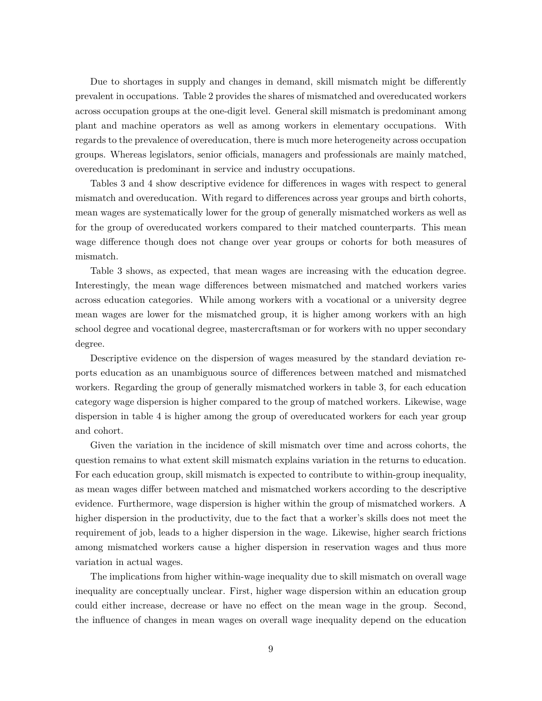Due to shortages in supply and changes in demand, skill mismatch might be differently prevalent in occupations. Table 2 provides the shares of mismatched and overeducated workers across occupation groups at the one-digit level. General skill mismatch is predominant among plant and machine operators as well as among workers in elementary occupations. With regards to the prevalence of overeducation, there is much more heterogeneity across occupation groups. Whereas legislators, senior officials, managers and professionals are mainly matched, overeducation is predominant in service and industry occupations.

Tables 3 and 4 show descriptive evidence for differences in wages with respect to general mismatch and overeducation. With regard to differences across year groups and birth cohorts, mean wages are systematically lower for the group of generally mismatched workers as well as for the group of overeducated workers compared to their matched counterparts. This mean wage difference though does not change over year groups or cohorts for both measures of mismatch.

Table 3 shows, as expected, that mean wages are increasing with the education degree. Interestingly, the mean wage differences between mismatched and matched workers varies across education categories. While among workers with a vocational or a university degree mean wages are lower for the mismatched group, it is higher among workers with an high school degree and vocational degree, mastercraftsman or for workers with no upper secondary degree.

Descriptive evidence on the dispersion of wages measured by the standard deviation reports education as an unambiguous source of differences between matched and mismatched workers. Regarding the group of generally mismatched workers in table 3, for each education category wage dispersion is higher compared to the group of matched workers. Likewise, wage dispersion in table 4 is higher among the group of overeducated workers for each year group and cohort.

Given the variation in the incidence of skill mismatch over time and across cohorts, the question remains to what extent skill mismatch explains variation in the returns to education. For each education group, skill mismatch is expected to contribute to within-group inequality, as mean wages differ between matched and mismatched workers according to the descriptive evidence. Furthermore, wage dispersion is higher within the group of mismatched workers. A higher dispersion in the productivity, due to the fact that a worker's skills does not meet the requirement of job, leads to a higher dispersion in the wage. Likewise, higher search frictions among mismatched workers cause a higher dispersion in reservation wages and thus more variation in actual wages.

The implications from higher within-wage inequality due to skill mismatch on overall wage inequality are conceptually unclear. First, higher wage dispersion within an education group could either increase, decrease or have no effect on the mean wage in the group. Second, the influence of changes in mean wages on overall wage inequality depend on the education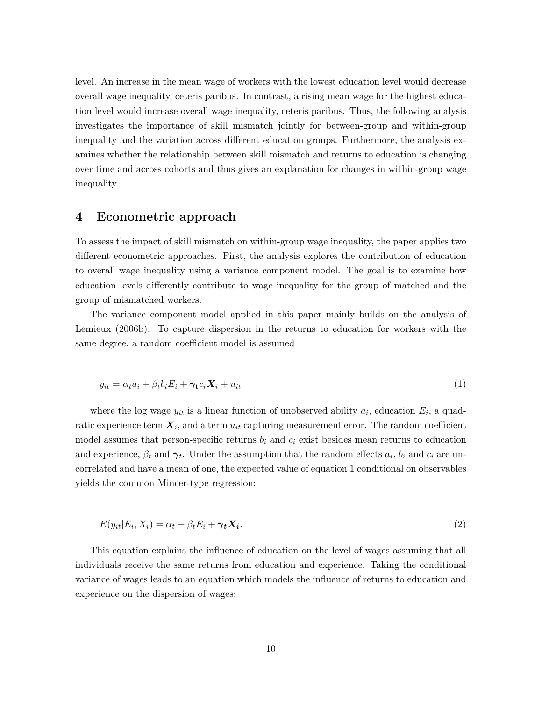level. An increase in the mean wage of workers with the lowest education level would decrease overall wage inequality, ceteris paribus. In contrast, a rising mean wage for the highest education level would increase overall wage inequality, ceteris paribus. Thus, the following analysis investigates the importance of skill mismatch jointly for between-group and within-group inequality and the variation across different education groups. Furthermore, the analysis examines whether the relationship between skill mismatch and returns to education is changing over time and across cohorts and thus gives an explanation for changes in within-group wage inequality.

### **4 Econometric approach**

To assess the impact of skill mismatch on within-group wage inequality, the paper applies two different econometric approaches. First, the analysis explores the contribution of education to overall wage inequality using a variance component model. The goal is to examine how education levels differently contribute to wage inequality for the group of matched and the group of mismatched workers.

The variance component model applied in this paper mainly builds on the analysis of Lemieux (2006b). To capture dispersion in the returns to education for workers with the same degree, a random coefficient model is assumed

$$
y_{it} = \alpha_t a_i + \beta_t b_i E_i + \gamma_t c_i \mathbf{X}_i + u_{it} \tag{1}
$$

where the log wage  $y_{it}$  is a linear function of unobserved ability  $a_i$ , education  $E_i$ , a quadratic experience term  $X_i$ , and a term  $u_{it}$  capturing measurement error. The random coefficient model assumes that person-specific returns  $b_i$  and  $c_i$  exist besides mean returns to education and experience,  $\beta_t$  and  $\gamma_t$ . Under the assumption that the random effects  $a_i$ ,  $b_i$  and  $c_i$  are uncorrelated and have a mean of one, the expected value of equation 1 conditional on observables yields the common Mincer-type regression:

$$
E(y_{it}|E_i, X_i) = \alpha_t + \beta_t E_i + \gamma_t X_i.
$$
\n<sup>(2)</sup>

This equation explains the influence of education on the level of wages assuming that all individuals receive the same returns from education and experience. Taking the conditional variance of wages leads to an equation which models the influence of returns to education and experience on the dispersion of wages: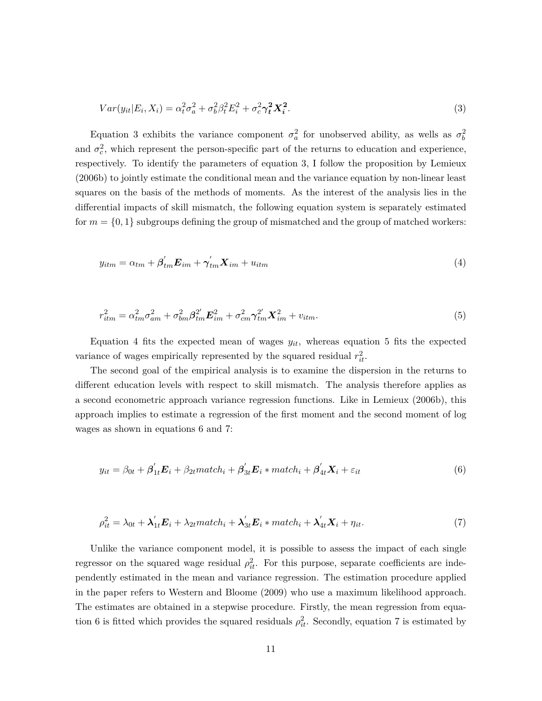$$
Var(y_{it}|E_i, X_i) = \alpha_t^2 \sigma_a^2 + \sigma_b^2 \beta_t^2 E_i^2 + \sigma_c^2 \gamma_t^2 X_i^2.
$$
\n(3)

Equation 3 exhibits the variance component  $\sigma_a^2$  for unobserved ability, as wells as  $\sigma_b^2$ and  $\sigma_c^2$ , which represent the person-specific part of the returns to education and experience, respectively. To identify the parameters of equation 3, I follow the proposition by Lemieux (2006b) to jointly estimate the conditional mean and the variance equation by non-linear least squares on the basis of the methods of moments. As the interest of the analysis lies in the differential impacts of skill mismatch, the following equation system is separately estimated for  $m = \{0, 1\}$  subgroups defining the group of mismatched and the group of matched workers:

$$
y_{itm} = \alpha_{tm} + \beta'_{tm} \mathbf{E}_{im} + \gamma'_{tm} \mathbf{X}_{im} + u_{itm}
$$
\n<sup>(4)</sup>

$$
r_{itm}^2 = \alpha_{tm}^2 \sigma_{am}^2 + \sigma_{bm}^2 \beta_{tm}^2 E_{im}^2 + \sigma_{cm}^2 \gamma_{tm}^2 X_{im}^2 + v_{itm}.
$$
\n(5)

Equation 4 fits the expected mean of wages  $y_{it}$ , whereas equation 5 fits the expected variance of wages empirically represented by the squared residual  $r_{it}^2$ .

The second goal of the empirical analysis is to examine the dispersion in the returns to different education levels with respect to skill mismatch. The analysis therefore applies as a second econometric approach variance regression functions. Like in Lemieux (2006b), this approach implies to estimate a regression of the first moment and the second moment of log wages as shown in equations 6 and 7:

$$
y_{it} = \beta_{0t} + \beta'_{1t} E_i + \beta_{2t} match_i + \beta'_{3t} E_i * match_i + \beta'_{4t} X_i + \varepsilon_{it}
$$
\n(6)

$$
\rho_{it}^2 = \lambda_{0t} + \lambda'_{1t} E_i + \lambda_{2t} match_i + \lambda'_{3t} E_i * match_i + \lambda'_{4t} X_i + \eta_{it}. \tag{7}
$$

Unlike the variance component model, it is possible to assess the impact of each single regressor on the squared wage residual  $\rho_{it}^2$ . For this purpose, separate coefficients are independently estimated in the mean and variance regression. The estimation procedure applied in the paper refers to Western and Bloome (2009) who use a maximum likelihood approach. The estimates are obtained in a stepwise procedure. Firstly, the mean regression from equation 6 is fitted which provides the squared residuals  $\rho_{it}^2$ . Secondly, equation 7 is estimated by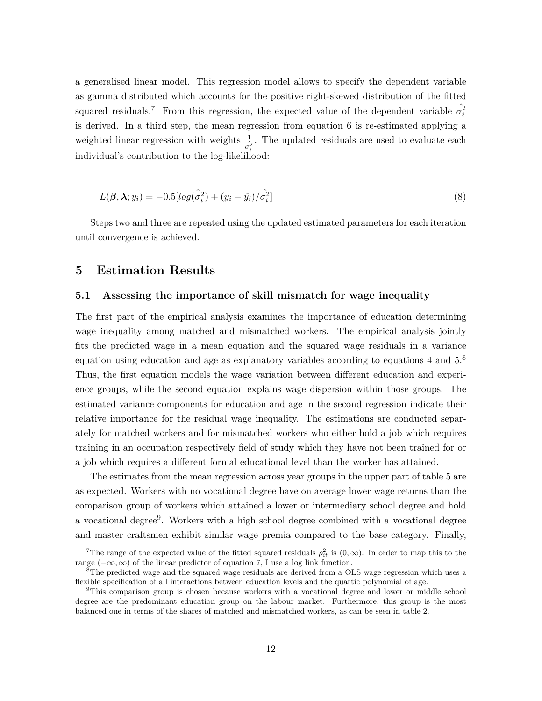a generalised linear model. This regression model allows to specify the dependent variable as gamma distributed which accounts for the positive right-skewed distribution of the fitted squared residuals.<sup>7</sup> From this regression, the expected value of the dependent variable  $\hat{\sigma}_i^2$ is derived. In a third step, the mean regression from equation 6 is re-estimated applying a weighted linear regression with weights  $\frac{1}{\sigma_i^2}$ . The updated residuals are used to evaluate each *i* individual's contribution to the log-likelihood:

$$
L(\boldsymbol{\beta}, \boldsymbol{\lambda}; y_i) = -0.5[log(\hat{\sigma}_i^2) + (y_i - \hat{y}_i)/\hat{\sigma}_i^2]
$$
\n(8)

Steps two and three are repeated using the updated estimated parameters for each iteration until convergence is achieved.

### **5 Estimation Results**

#### **5.1 Assessing the importance of skill mismatch for wage inequality**

The first part of the empirical analysis examines the importance of education determining wage inequality among matched and mismatched workers. The empirical analysis jointly fits the predicted wage in a mean equation and the squared wage residuals in a variance equation using education and age as explanatory variables according to equations 4 and 5.<sup>8</sup> Thus, the first equation models the wage variation between different education and experience groups, while the second equation explains wage dispersion within those groups. The estimated variance components for education and age in the second regression indicate their relative importance for the residual wage inequality. The estimations are conducted separately for matched workers and for mismatched workers who either hold a job which requires training in an occupation respectively field of study which they have not been trained for or a job which requires a different formal educational level than the worker has attained.

The estimates from the mean regression across year groups in the upper part of table 5 are as expected. Workers with no vocational degree have on average lower wage returns than the comparison group of workers which attained a lower or intermediary school degree and hold a vocational degree<sup>9</sup>. Workers with a high school degree combined with a vocational degree and master craftsmen exhibit similar wage premia compared to the base category. Finally,

<sup>&</sup>lt;sup>7</sup>The range of the expected value of the fitted squared residuals  $\rho_{it}^2$  is  $(0,\infty)$ . In order to map this to the range  $(-\infty, \infty)$  of the linear predictor of equation 7, I use a log link function.

<sup>&</sup>lt;sup>8</sup>The predicted wage and the squared wage residuals are derived from a OLS wage regression which uses a flexible specification of all interactions between education levels and the quartic polynomial of age.

<sup>&</sup>lt;sup>9</sup>This comparison group is chosen because workers with a vocational degree and lower or middle school degree are the predominant education group on the labour market. Furthermore, this group is the most balanced one in terms of the shares of matched and mismatched workers, as can be seen in table 2.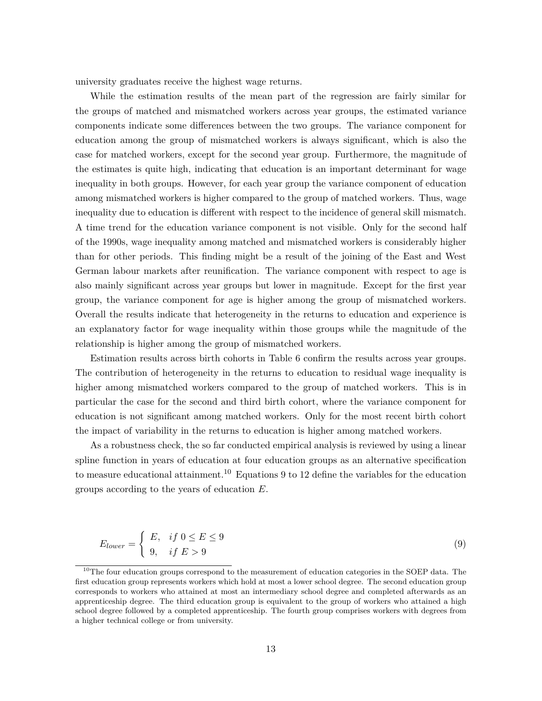university graduates receive the highest wage returns.

While the estimation results of the mean part of the regression are fairly similar for the groups of matched and mismatched workers across year groups, the estimated variance components indicate some differences between the two groups. The variance component for education among the group of mismatched workers is always significant, which is also the case for matched workers, except for the second year group. Furthermore, the magnitude of the estimates is quite high, indicating that education is an important determinant for wage inequality in both groups. However, for each year group the variance component of education among mismatched workers is higher compared to the group of matched workers. Thus, wage inequality due to education is different with respect to the incidence of general skill mismatch. A time trend for the education variance component is not visible. Only for the second half of the 1990s, wage inequality among matched and mismatched workers is considerably higher than for other periods. This finding might be a result of the joining of the East and West German labour markets after reunification. The variance component with respect to age is also mainly significant across year groups but lower in magnitude. Except for the first year group, the variance component for age is higher among the group of mismatched workers. Overall the results indicate that heterogeneity in the returns to education and experience is an explanatory factor for wage inequality within those groups while the magnitude of the relationship is higher among the group of mismatched workers.

Estimation results across birth cohorts in Table 6 confirm the results across year groups. The contribution of heterogeneity in the returns to education to residual wage inequality is higher among mismatched workers compared to the group of matched workers. This is in particular the case for the second and third birth cohort, where the variance component for education is not significant among matched workers. Only for the most recent birth cohort the impact of variability in the returns to education is higher among matched workers.

As a robustness check, the so far conducted empirical analysis is reviewed by using a linear spline function in years of education at four education groups as an alternative specification to measure educational attainment.<sup>10</sup> Equations 9 to 12 define the variables for the education groups according to the years of education *E*.

$$
E_{lower} = \begin{cases} E, & if \ 0 \le E \le 9 \\ 9, & if \ E > 9 \end{cases}
$$
 (9)

 $10$ The four education groups correspond to the measurement of education categories in the SOEP data. The first education group represents workers which hold at most a lower school degree. The second education group corresponds to workers who attained at most an intermediary school degree and completed afterwards as an apprenticeship degree. The third education group is equivalent to the group of workers who attained a high school degree followed by a completed apprenticeship. The fourth group comprises workers with degrees from a higher technical college or from university.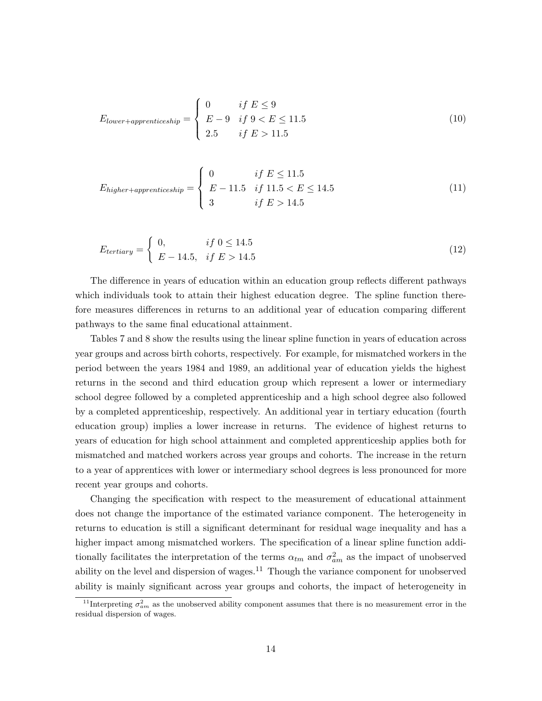$$
E_{lower+appropriateship} = \begin{cases} 0 & if \ E \le 9\\ E - 9 & if \ 9 < E \le 11.5\\ 2.5 & if \ E > 11.5 \end{cases} \tag{10}
$$

$$
E_{higher+appropriateship} = \begin{cases} 0 & if \ E \le 11.5 \\ E - 11.5 & if \ 11.5 < E \le 14.5 \\ 3 & if \ E > 14.5 \end{cases} \tag{11}
$$

$$
E_{tertiary} = \begin{cases} 0, & if \ 0 \le 14.5 \\ E - 14.5, & if \ E > 14.5 \end{cases}
$$
 (12)

The difference in years of education within an education group reflects different pathways which individuals took to attain their highest education degree. The spline function therefore measures differences in returns to an additional year of education comparing different pathways to the same final educational attainment.

Tables 7 and 8 show the results using the linear spline function in years of education across year groups and across birth cohorts, respectively. For example, for mismatched workers in the period between the years 1984 and 1989, an additional year of education yields the highest returns in the second and third education group which represent a lower or intermediary school degree followed by a completed apprenticeship and a high school degree also followed by a completed apprenticeship, respectively. An additional year in tertiary education (fourth education group) implies a lower increase in returns. The evidence of highest returns to years of education for high school attainment and completed apprenticeship applies both for mismatched and matched workers across year groups and cohorts. The increase in the return to a year of apprentices with lower or intermediary school degrees is less pronounced for more recent year groups and cohorts.

Changing the specification with respect to the measurement of educational attainment does not change the importance of the estimated variance component. The heterogeneity in returns to education is still a significant determinant for residual wage inequality and has a higher impact among mismatched workers. The specification of a linear spline function additionally facilitates the interpretation of the terms  $\alpha_{tm}$  and  $\sigma_{am}^2$  as the impact of unobserved ability on the level and dispersion of wages.<sup>11</sup> Though the variance component for unobserved ability is mainly significant across year groups and cohorts, the impact of heterogeneity in

<sup>&</sup>lt;sup>11</sup>Interpreting  $\sigma_{am}^2$  as the unobserved ability component assumes that there is no measurement error in the residual dispersion of wages.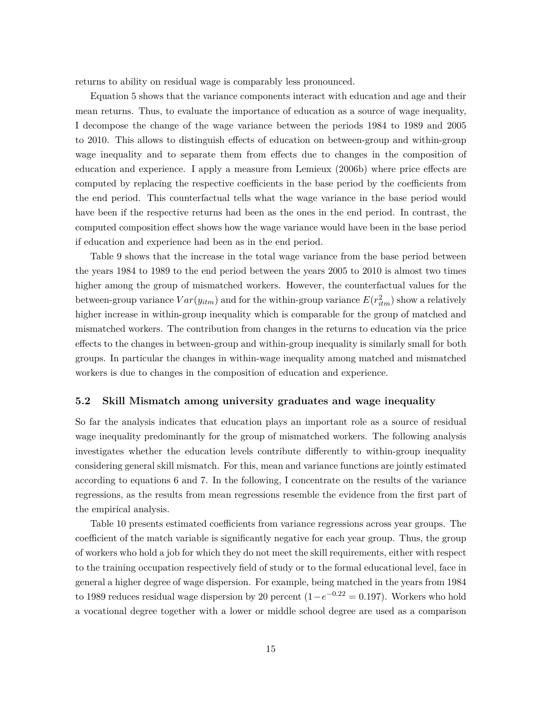returns to ability on residual wage is comparably less pronounced.

Equation 5 shows that the variance components interact with education and age and their mean returns. Thus, to evaluate the importance of education as a source of wage inequality, I decompose the change of the wage variance between the periods 1984 to 1989 and 2005 to 2010. This allows to distinguish effects of education on between-group and within-group wage inequality and to separate them from effects due to changes in the composition of education and experience. I apply a measure from Lemieux (2006b) where price effects are computed by replacing the respective coefficients in the base period by the coefficients from the end period. This counterfactual tells what the wage variance in the base period would have been if the respective returns had been as the ones in the end period. In contrast, the computed composition effect shows how the wage variance would have been in the base period if education and experience had been as in the end period.

Table 9 shows that the increase in the total wage variance from the base period between the years 1984 to 1989 to the end period between the years 2005 to 2010 is almost two times higher among the group of mismatched workers. However, the counterfactual values for the between-group variance  $Var(y_{itm})$  and for the within-group variance  $E(r_{itm}^2)$  show a relatively higher increase in within-group inequality which is comparable for the group of matched and mismatched workers. The contribution from changes in the returns to education via the price effects to the changes in between-group and within-group inequality is similarly small for both groups. In particular the changes in within-wage inequality among matched and mismatched workers is due to changes in the composition of education and experience.

#### **5.2 Skill Mismatch among university graduates and wage inequality**

So far the analysis indicates that education plays an important role as a source of residual wage inequality predominantly for the group of mismatched workers. The following analysis investigates whether the education levels contribute differently to within-group inequality considering general skill mismatch. For this, mean and variance functions are jointly estimated according to equations 6 and 7. In the following, I concentrate on the results of the variance regressions, as the results from mean regressions resemble the evidence from the first part of the empirical analysis.

Table 10 presents estimated coefficients from variance regressions across year groups. The coefficient of the match variable is significantly negative for each year group. Thus, the group of workers who hold a job for which they do not meet the skill requirements, either with respect to the training occupation respectively field of study or to the formal educational level, face in general a higher degree of wage dispersion. For example, being matched in the years from 1984 to 1989 reduces residual wage dispersion by 20 percent  $(1-e^{-0.22} = 0.197)$ . Workers who hold a vocational degree together with a lower or middle school degree are used as a comparison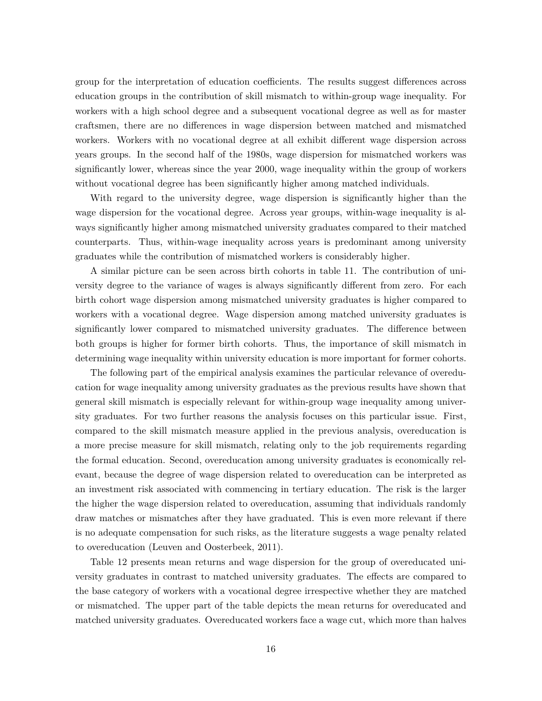group for the interpretation of education coefficients. The results suggest differences across education groups in the contribution of skill mismatch to within-group wage inequality. For workers with a high school degree and a subsequent vocational degree as well as for master craftsmen, there are no differences in wage dispersion between matched and mismatched workers. Workers with no vocational degree at all exhibit different wage dispersion across years groups. In the second half of the 1980s, wage dispersion for mismatched workers was significantly lower, whereas since the year 2000, wage inequality within the group of workers without vocational degree has been significantly higher among matched individuals.

With regard to the university degree, wage dispersion is significantly higher than the wage dispersion for the vocational degree. Across year groups, within-wage inequality is always significantly higher among mismatched university graduates compared to their matched counterparts. Thus, within-wage inequality across years is predominant among university graduates while the contribution of mismatched workers is considerably higher.

A similar picture can be seen across birth cohorts in table 11. The contribution of university degree to the variance of wages is always significantly different from zero. For each birth cohort wage dispersion among mismatched university graduates is higher compared to workers with a vocational degree. Wage dispersion among matched university graduates is significantly lower compared to mismatched university graduates. The difference between both groups is higher for former birth cohorts. Thus, the importance of skill mismatch in determining wage inequality within university education is more important for former cohorts.

The following part of the empirical analysis examines the particular relevance of overeducation for wage inequality among university graduates as the previous results have shown that general skill mismatch is especially relevant for within-group wage inequality among university graduates. For two further reasons the analysis focuses on this particular issue. First, compared to the skill mismatch measure applied in the previous analysis, overeducation is a more precise measure for skill mismatch, relating only to the job requirements regarding the formal education. Second, overeducation among university graduates is economically relevant, because the degree of wage dispersion related to overeducation can be interpreted as an investment risk associated with commencing in tertiary education. The risk is the larger the higher the wage dispersion related to overeducation, assuming that individuals randomly draw matches or mismatches after they have graduated. This is even more relevant if there is no adequate compensation for such risks, as the literature suggests a wage penalty related to overeducation (Leuven and Oosterbeek, 2011).

Table 12 presents mean returns and wage dispersion for the group of overeducated university graduates in contrast to matched university graduates. The effects are compared to the base category of workers with a vocational degree irrespective whether they are matched or mismatched. The upper part of the table depicts the mean returns for overeducated and matched university graduates. Overeducated workers face a wage cut, which more than halves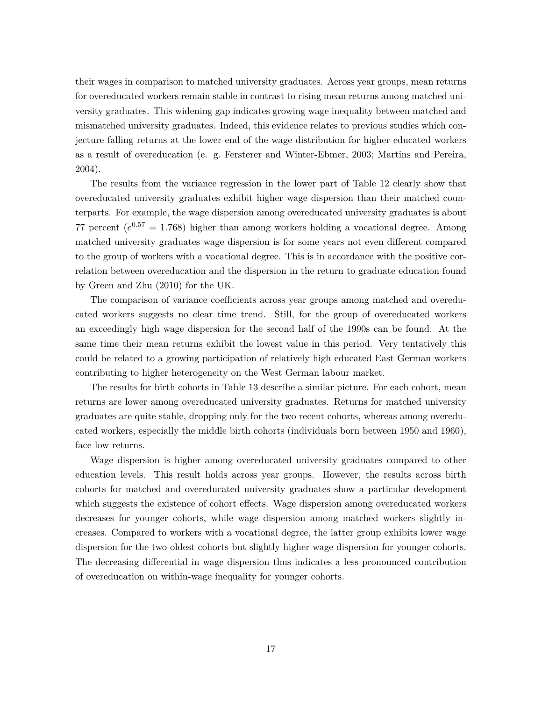their wages in comparison to matched university graduates. Across year groups, mean returns for overeducated workers remain stable in contrast to rising mean returns among matched university graduates. This widening gap indicates growing wage inequality between matched and mismatched university graduates. Indeed, this evidence relates to previous studies which conjecture falling returns at the lower end of the wage distribution for higher educated workers as a result of overeducation (e. g. Fersterer and Winter-Ebmer, 2003; Martins and Pereira, 2004).

The results from the variance regression in the lower part of Table 12 clearly show that overeducated university graduates exhibit higher wage dispersion than their matched counterparts. For example, the wage dispersion among overeducated university graduates is about 77 percent  $(e^{0.57} = 1.768)$  higher than among workers holding a vocational degree. Among matched university graduates wage dispersion is for some years not even different compared to the group of workers with a vocational degree. This is in accordance with the positive correlation between overeducation and the dispersion in the return to graduate education found by Green and Zhu (2010) for the UK.

The comparison of variance coefficients across year groups among matched and overeducated workers suggests no clear time trend. Still, for the group of overeducated workers an exceedingly high wage dispersion for the second half of the 1990s can be found. At the same time their mean returns exhibit the lowest value in this period. Very tentatively this could be related to a growing participation of relatively high educated East German workers contributing to higher heterogeneity on the West German labour market.

The results for birth cohorts in Table 13 describe a similar picture. For each cohort, mean returns are lower among overeducated university graduates. Returns for matched university graduates are quite stable, dropping only for the two recent cohorts, whereas among overeducated workers, especially the middle birth cohorts (individuals born between 1950 and 1960), face low returns.

Wage dispersion is higher among overeducated university graduates compared to other education levels. This result holds across year groups. However, the results across birth cohorts for matched and overeducated university graduates show a particular development which suggests the existence of cohort effects. Wage dispersion among overeducated workers decreases for younger cohorts, while wage dispersion among matched workers slightly increases. Compared to workers with a vocational degree, the latter group exhibits lower wage dispersion for the two oldest cohorts but slightly higher wage dispersion for younger cohorts. The decreasing differential in wage dispersion thus indicates a less pronounced contribution of overeducation on within-wage inequality for younger cohorts.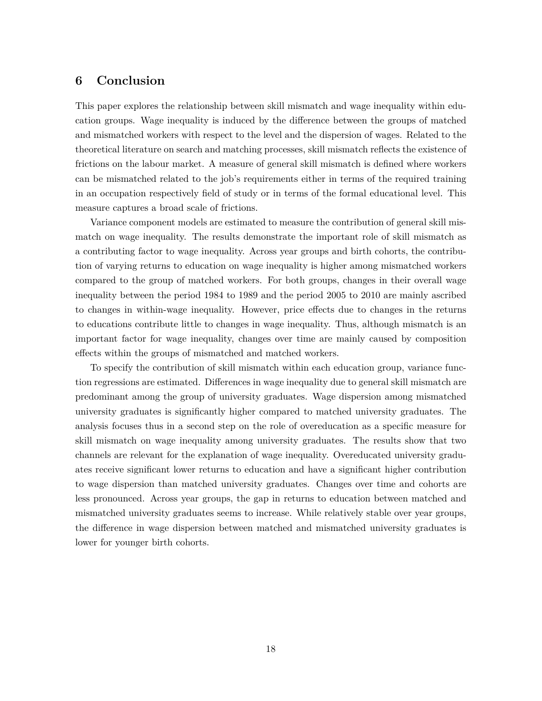## **6 Conclusion**

This paper explores the relationship between skill mismatch and wage inequality within education groups. Wage inequality is induced by the difference between the groups of matched and mismatched workers with respect to the level and the dispersion of wages. Related to the theoretical literature on search and matching processes, skill mismatch reflects the existence of frictions on the labour market. A measure of general skill mismatch is defined where workers can be mismatched related to the job's requirements either in terms of the required training in an occupation respectively field of study or in terms of the formal educational level. This measure captures a broad scale of frictions.

Variance component models are estimated to measure the contribution of general skill mismatch on wage inequality. The results demonstrate the important role of skill mismatch as a contributing factor to wage inequality. Across year groups and birth cohorts, the contribution of varying returns to education on wage inequality is higher among mismatched workers compared to the group of matched workers. For both groups, changes in their overall wage inequality between the period 1984 to 1989 and the period 2005 to 2010 are mainly ascribed to changes in within-wage inequality. However, price effects due to changes in the returns to educations contribute little to changes in wage inequality. Thus, although mismatch is an important factor for wage inequality, changes over time are mainly caused by composition effects within the groups of mismatched and matched workers.

To specify the contribution of skill mismatch within each education group, variance function regressions are estimated. Differences in wage inequality due to general skill mismatch are predominant among the group of university graduates. Wage dispersion among mismatched university graduates is significantly higher compared to matched university graduates. The analysis focuses thus in a second step on the role of overeducation as a specific measure for skill mismatch on wage inequality among university graduates. The results show that two channels are relevant for the explanation of wage inequality. Overeducated university graduates receive significant lower returns to education and have a significant higher contribution to wage dispersion than matched university graduates. Changes over time and cohorts are less pronounced. Across year groups, the gap in returns to education between matched and mismatched university graduates seems to increase. While relatively stable over year groups, the difference in wage dispersion between matched and mismatched university graduates is lower for younger birth cohorts.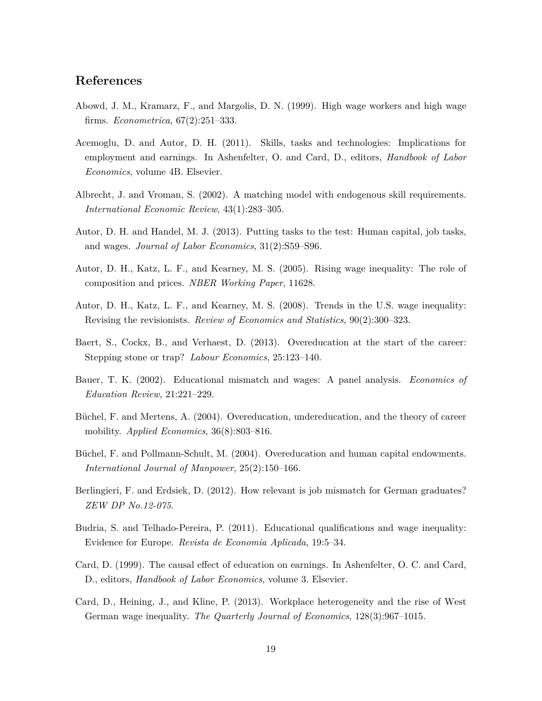### **References**

- Abowd, J. M., Kramarz, F., and Margolis, D. N. (1999). High wage workers and high wage firms. *Econometrica*, 67(2):251–333.
- Acemoglu, D. and Autor, D. H. (2011). Skills, tasks and technologies: Implications for employment and earnings. In Ashenfelter, O. and Card, D., editors, *Handbook of Labor Economics*, volume 4B. Elsevier.
- Albrecht, J. and Vroman, S. (2002). A matching model with endogenous skill requirements. *International Economic Review*, 43(1):283–305.
- Autor, D. H. and Handel, M. J. (2013). Putting tasks to the test: Human capital, job tasks, and wages. *Journal of Labor Economics*, 31(2):S59–S96.
- Autor, D. H., Katz, L. F., and Kearney, M. S. (2005). Rising wage inequality: The role of composition and prices. *NBER Working Paper*, 11628.
- Autor, D. H., Katz, L. F., and Kearney, M. S. (2008). Trends in the U.S. wage inequality: Revising the revisionists. *Review of Economics and Statistics*, 90(2):300–323.
- Baert, S., Cockx, B., and Verhaest, D. (2013). Overeducation at the start of the career: Stepping stone or trap? *Labour Economics*, 25:123–140.
- Bauer, T. K. (2002). Educational mismatch and wages: A panel analysis. *Economics of Education Review*, 21:221–229.
- Büchel, F. and Mertens, A. (2004). Overeducation, undereducation, and the theory of career mobility. *Applied Economics*, 36(8):803–816.
- Büchel, F. and Pollmann-Schult, M. (2004). Overeducation and human capital endowments. *International Journal of Manpower*, 25(2):150–166.
- Berlingieri, F. and Erdsiek, D. (2012). How relevant is job mismatch for German graduates? *ZEW DP No.12-075*.
- Budria, S. and Telhado-Pereira, P. (2011). Educational qualifications and wage inequality: Evidence for Europe. *Revista de Economia Aplicada*, 19:5–34.
- Card, D. (1999). The causal effect of education on earnings. In Ashenfelter, O. C. and Card, D., editors, *Handbook of Labor Economics*, volume 3. Elsevier.
- Card, D., Heining, J., and Kline, P. (2013). Workplace heterogeneity and the rise of West German wage inequality. *The Quarterly Journal of Economics*, 128(3):967–1015.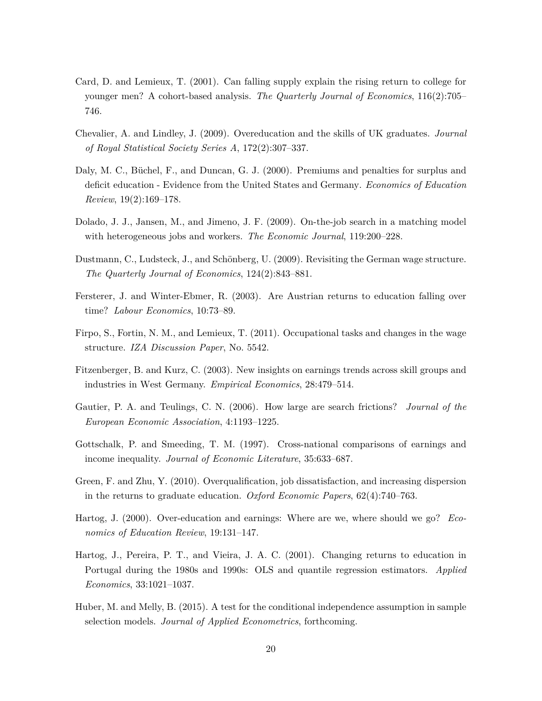- Card, D. and Lemieux, T. (2001). Can falling supply explain the rising return to college for younger men? A cohort-based analysis. *The Quarterly Journal of Economics*, 116(2):705– 746.
- Chevalier, A. and Lindley, J. (2009). Overeducation and the skills of UK graduates. *Journal of Royal Statistical Society Series A*, 172(2):307–337.
- Daly, M. C., Büchel, F., and Duncan, G. J. (2000). Premiums and penalties for surplus and deficit education - Evidence from the United States and Germany. *Economics of Education Review*, 19(2):169–178.
- Dolado, J. J., Jansen, M., and Jimeno, J. F. (2009). On-the-job search in a matching model with heterogeneous jobs and workers. *The Economic Journal*, 119:200–228.
- Dustmann, C., Ludsteck, J., and Schönberg, U. (2009). Revisiting the German wage structure. *The Quarterly Journal of Economics*, 124(2):843–881.
- Fersterer, J. and Winter-Ebmer, R. (2003). Are Austrian returns to education falling over time? *Labour Economics*, 10:73–89.
- Firpo, S., Fortin, N. M., and Lemieux, T. (2011). Occupational tasks and changes in the wage structure. *IZA Discussion Paper*, No. 5542.
- Fitzenberger, B. and Kurz, C. (2003). New insights on earnings trends across skill groups and industries in West Germany. *Empirical Economics*, 28:479–514.
- Gautier, P. A. and Teulings, C. N. (2006). How large are search frictions? *Journal of the European Economic Association*, 4:1193–1225.
- Gottschalk, P. and Smeeding, T. M. (1997). Cross-national comparisons of earnings and income inequality. *Journal of Economic Literature*, 35:633–687.
- Green, F. and Zhu, Y. (2010). Overqualification, job dissatisfaction, and increasing dispersion in the returns to graduate education. *Oxford Economic Papers*, 62(4):740–763.
- Hartog, J. (2000). Over-education and earnings: Where are we, where should we go? *Economics of Education Review*, 19:131–147.
- Hartog, J., Pereira, P. T., and Vieira, J. A. C. (2001). Changing returns to education in Portugal during the 1980s and 1990s: OLS and quantile regression estimators. *Applied Economics*, 33:1021–1037.
- Huber, M. and Melly, B. (2015). A test for the conditional independence assumption in sample selection models. *Journal of Applied Econometrics*, forthcoming.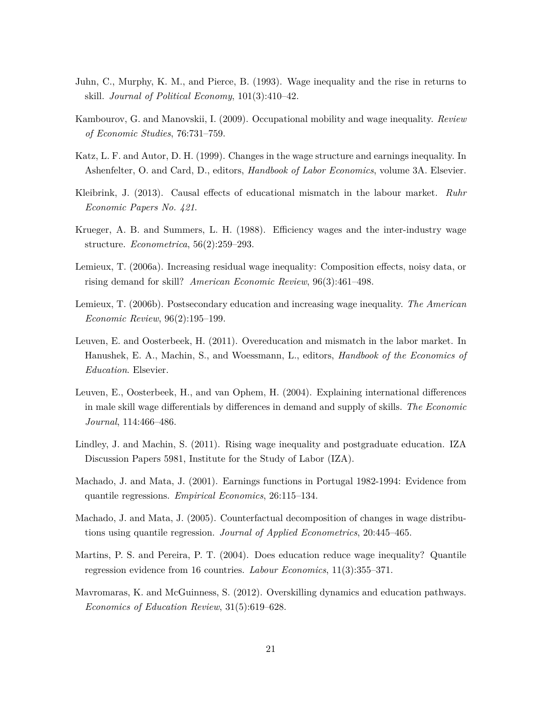- Juhn, C., Murphy, K. M., and Pierce, B. (1993). Wage inequality and the rise in returns to skill. *Journal of Political Economy*, 101(3):410–42.
- Kambourov, G. and Manovskii, I. (2009). Occupational mobility and wage inequality. *Review of Economic Studies*, 76:731–759.
- Katz, L. F. and Autor, D. H. (1999). Changes in the wage structure and earnings inequality. In Ashenfelter, O. and Card, D., editors, *Handbook of Labor Economics*, volume 3A. Elsevier.
- Kleibrink, J. (2013). Causal effects of educational mismatch in the labour market. *Ruhr Economic Papers No. 421*.
- Krueger, A. B. and Summers, L. H. (1988). Efficiency wages and the inter-industry wage structure. *Econometrica*, 56(2):259–293.
- Lemieux, T. (2006a). Increasing residual wage inequality: Composition effects, noisy data, or rising demand for skill? *American Economic Review*, 96(3):461–498.
- Lemieux, T. (2006b). Postsecondary education and increasing wage inequality. *The American Economic Review*, 96(2):195–199.
- Leuven, E. and Oosterbeek, H. (2011). Overeducation and mismatch in the labor market. In Hanushek, E. A., Machin, S., and Woessmann, L., editors, *Handbook of the Economics of Education*. Elsevier.
- Leuven, E., Oosterbeek, H., and van Ophem, H. (2004). Explaining international differences in male skill wage differentials by differences in demand and supply of skills. *The Economic Journal*, 114:466–486.
- Lindley, J. and Machin, S. (2011). Rising wage inequality and postgraduate education. IZA Discussion Papers 5981, Institute for the Study of Labor (IZA).
- Machado, J. and Mata, J. (2001). Earnings functions in Portugal 1982-1994: Evidence from quantile regressions. *Empirical Economics*, 26:115–134.
- Machado, J. and Mata, J. (2005). Counterfactual decomposition of changes in wage distributions using quantile regression. *Journal of Applied Econometrics*, 20:445–465.
- Martins, P. S. and Pereira, P. T. (2004). Does education reduce wage inequality? Quantile regression evidence from 16 countries. *Labour Economics*, 11(3):355–371.
- Mavromaras, K. and McGuinness, S. (2012). Overskilling dynamics and education pathways. *Economics of Education Review*, 31(5):619–628.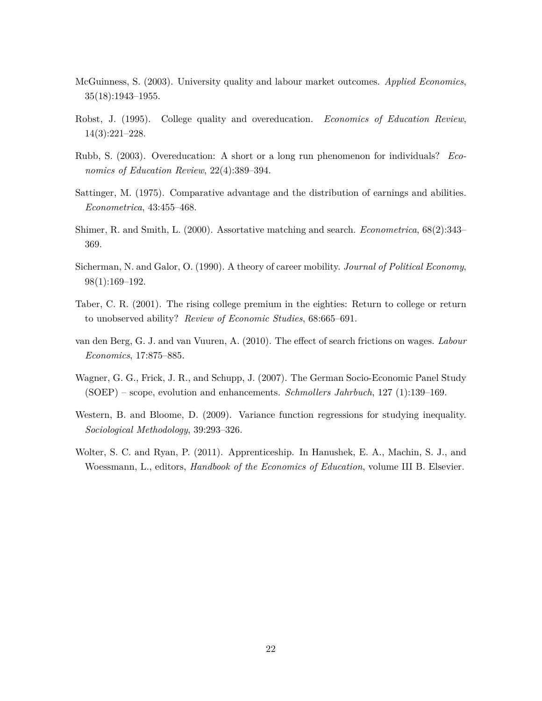- McGuinness, S. (2003). University quality and labour market outcomes. *Applied Economics*, 35(18):1943–1955.
- Robst, J. (1995). College quality and overeducation. *Economics of Education Review*, 14(3):221–228.
- Rubb, S. (2003). Overeducation: A short or a long run phenomenon for individuals? *Economics of Education Review*, 22(4):389–394.
- Sattinger, M. (1975). Comparative advantage and the distribution of earnings and abilities. *Econometrica*, 43:455–468.
- Shimer, R. and Smith, L. (2000). Assortative matching and search. *Econometrica*, 68(2):343– 369.
- Sicherman, N. and Galor, O. (1990). A theory of career mobility. *Journal of Political Economy*, 98(1):169–192.
- Taber, C. R. (2001). The rising college premium in the eighties: Return to college or return to unobserved ability? *Review of Economic Studies*, 68:665–691.
- van den Berg, G. J. and van Vuuren, A. (2010). The effect of search frictions on wages. *Labour Economics*, 17:875–885.
- Wagner, G. G., Frick, J. R., and Schupp, J. (2007). The German Socio-Economic Panel Study (SOEP) – scope, evolution and enhancements. *Schmollers Jahrbuch*, 127 (1):139–169.
- Western, B. and Bloome, D. (2009). Variance function regressions for studying inequality. *Sociological Methodology*, 39:293–326.
- Wolter, S. C. and Ryan, P. (2011). Apprenticeship. In Hanushek, E. A., Machin, S. J., and Woessmann, L., editors, *Handbook of the Economics of Education*, volume III B. Elsevier.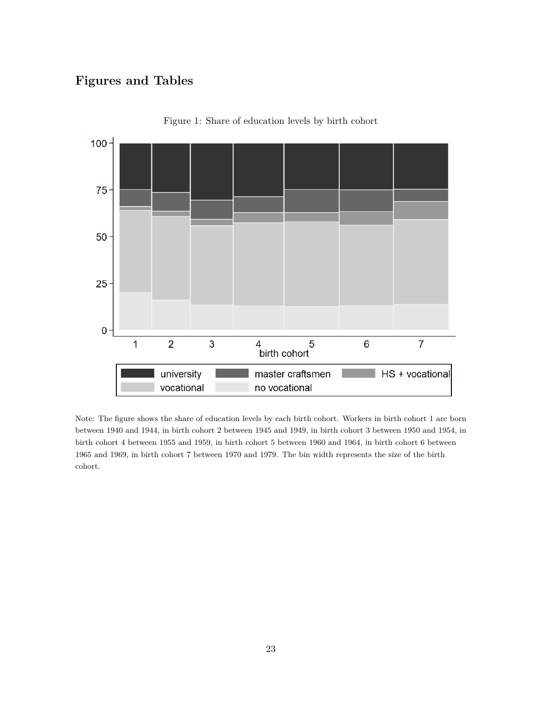## **Figures and Tables**



Figure 1: Share of education levels by birth cohort

Note: The figure shows the share of education levels by each birth cohort. Workers in birth cohort 1 are born between 1940 and 1944, in birth cohort 2 between 1945 and 1949, in birth cohort 3 between 1950 and 1954, in birth cohort 4 between 1955 and 1959, in birth cohort 5 between 1960 and 1964, in birth cohort 6 between 1965 and 1969, in birth cohort 7 between 1970 and 1979. The bin width represents the size of the birth cohort.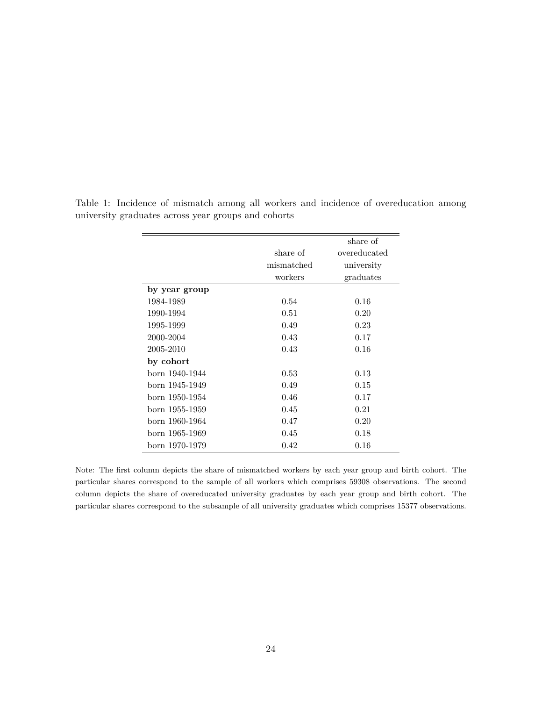|                |            | share of     |
|----------------|------------|--------------|
|                | share of   | overeducated |
|                | mismatched | university   |
|                | workers    | graduates    |
| by year group  |            |              |
| 1984-1989      | 0.54       | 0.16         |
| 1990-1994      | 0.51       | 0.20         |
| 1995-1999      | 0.49       | 0.23         |
| 2000-2004      | 0.43       | 0.17         |
| 2005-2010      | 0.43       | 0.16         |
| by cohort      |            |              |
| born 1940-1944 | 0.53       | 0.13         |
| born 1945-1949 | 0.49       | 0.15         |
| born 1950-1954 | 0.46       | 0.17         |
| born 1955-1959 | 0.45       | 0.21         |
| born 1960-1964 | 0.47       | 0.20         |
| born 1965-1969 | 0.45       | 0.18         |
| born 1970-1979 | 0.42       | 0.16         |

Table 1: Incidence of mismatch among all workers and incidence of overeducation among university graduates across year groups and cohorts

Note: The first column depicts the share of mismatched workers by each year group and birth cohort. The particular shares correspond to the sample of all workers which comprises 59308 observations. The second column depicts the share of overeducated university graduates by each year group and birth cohort. The particular shares correspond to the subsample of all university graduates which comprises 15377 observations.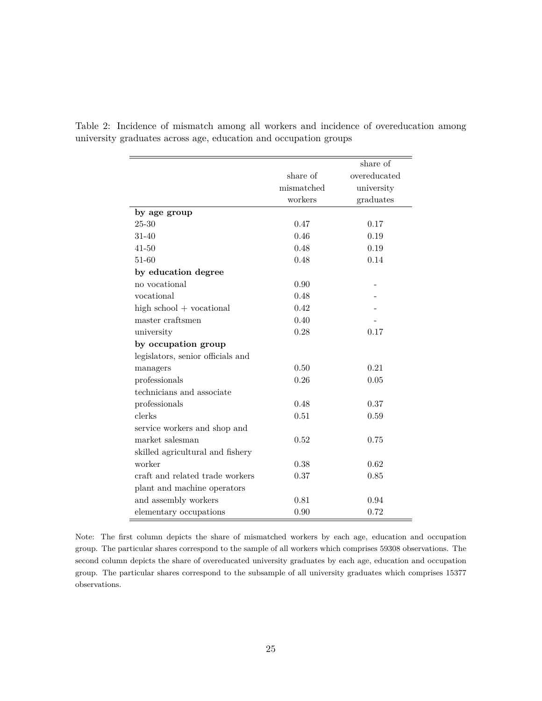|                                   |            | share of     |
|-----------------------------------|------------|--------------|
|                                   | share of   | overeducated |
|                                   | mismatched | university   |
|                                   | workers    | graduates    |
| by age group                      |            |              |
| $25 - 30$                         | 0.47       | 0.17         |
| $31 - 40$                         | 0.46       | 0.19         |
| $41 - 50$                         | 0.48       | 0.19         |
| $51 - 60$                         | 0.48       | 0.14         |
| by education degree               |            |              |
| no vocational                     | 0.90       |              |
| vocational                        | 0.48       |              |
| high $school + vocal$             | 0.42       |              |
| master craftsmen                  | 0.40       |              |
| university                        | 0.28       | 0.17         |
| by occupation group               |            |              |
| legislators, senior officials and |            |              |
| managers                          | 0.50       | 0.21         |
| professionals                     | 0.26       | 0.05         |
| technicians and associate         |            |              |
| professionals                     | 0.48       | 0.37         |
| clerks                            | 0.51       | 0.59         |
| service workers and shop and      |            |              |
| market salesman                   | 0.52       | 0.75         |
| skilled agricultural and fishery  |            |              |
| worker                            | 0.38       | 0.62         |
| craft and related trade workers   | 0.37       | 0.85         |
| plant and machine operators       |            |              |
| and assembly workers              | 0.81       | 0.94         |
| elementary occupations            | 0.90       | 0.72         |

Table 2: Incidence of mismatch among all workers and incidence of overeducation among university graduates across age, education and occupation groups

Note: The first column depicts the share of mismatched workers by each age, education and occupation group. The particular shares correspond to the sample of all workers which comprises 59308 observations. The second column depicts the share of overeducated university graduates by each age, education and occupation group. The particular shares correspond to the subsample of all university graduates which comprises 15377 observations.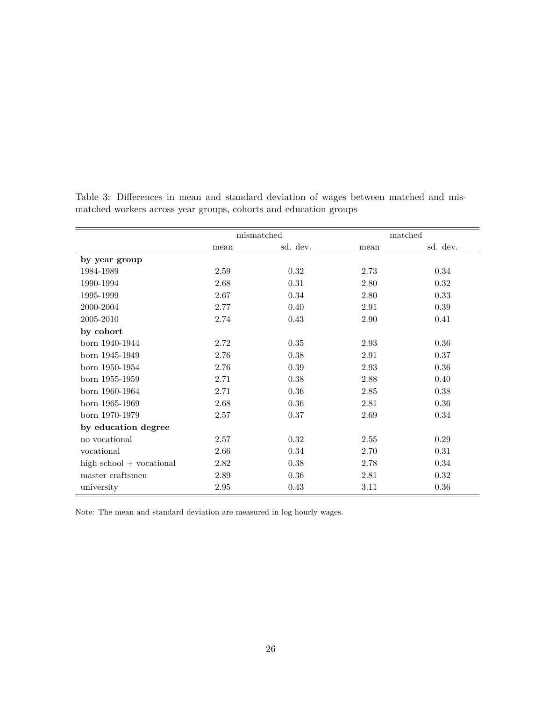|                       |          | mismatched |      | matched  |
|-----------------------|----------|------------|------|----------|
|                       | mean     | sd. dev.   | mean | sd. dev. |
| by year group         |          |            |      |          |
| 1984-1989             | 2.59     | 0.32       | 2.73 | 0.34     |
| 1990-1994             | 2.68     | 0.31       | 2.80 | 0.32     |
| 1995-1999             | 2.67     | 0.34       | 2.80 | 0.33     |
| 2000-2004             | 2.77     | 0.40       | 2.91 | 0.39     |
| 2005-2010             | 2.74     | 0.43       | 2.90 | 0.41     |
| by cohort             |          |            |      |          |
| born 1940-1944        | 2.72     | 0.35       | 2.93 | 0.36     |
| born 1945-1949        | 2.76     | 0.38       | 2.91 | 0.37     |
| born 1950-1954        | 2.76     | 0.39       | 2.93 | 0.36     |
| born 1955-1959        | 2.71     | 0.38       | 2.88 | 0.40     |
| born 1960-1964        | 2.71     | 0.36       | 2.85 | 0.38     |
| born 1965-1969        | 2.68     | 0.36       | 2.81 | 0.36     |
| born 1970-1979        | 2.57     | 0.37       | 2.69 | 0.34     |
| by education degree   |          |            |      |          |
| no vocational         | 2.57     | 0.32       | 2.55 | 0.29     |
| vocational            | 2.66     | 0.34       | 2.70 | 0.31     |
| high $school + vocal$ | 2.82     | 0.38       | 2.78 | 0.34     |
| master craftsmen      | 2.89     | 0.36       | 2.81 | 0.32     |
| university            | $2.95\,$ | 0.43       | 3.11 | 0.36     |

Table 3: Differences in mean and standard deviation of wages between matched and mismatched workers across year groups, cohorts and education groups

Note: The mean and standard deviation are measured in log hourly wages.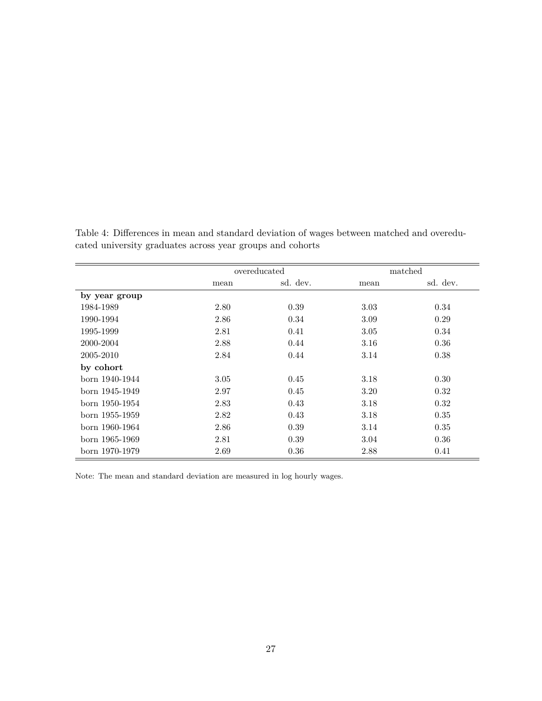|                |      | overeducated |      | matched  |
|----------------|------|--------------|------|----------|
|                | mean | sd. dev.     | mean | sd. dev. |
| by year group  |      |              |      |          |
| 1984-1989      | 2.80 | 0.39         | 3.03 | 0.34     |
| 1990-1994      | 2.86 | 0.34         | 3.09 | 0.29     |
| 1995-1999      | 2.81 | 0.41         | 3.05 | 0.34     |
| 2000-2004      | 2.88 | 0.44         | 3.16 | 0.36     |
| 2005-2010      | 2.84 | 0.44         | 3.14 | 0.38     |
| by cohort      |      |              |      |          |
| born 1940-1944 | 3.05 | 0.45         | 3.18 | 0.30     |
| born 1945-1949 | 2.97 | 0.45         | 3.20 | 0.32     |
| born 1950-1954 | 2.83 | 0.43         | 3.18 | 0.32     |
| born 1955-1959 | 2.82 | 0.43         | 3.18 | 0.35     |
| born 1960-1964 | 2.86 | 0.39         | 3.14 | 0.35     |
| born 1965-1969 | 2.81 | 0.39         | 3.04 | 0.36     |
| born 1970-1979 | 2.69 | 0.36         | 2.88 | 0.41     |

Table 4: Differences in mean and standard deviation of wages between matched and overeducated university graduates across year groups and cohorts

Note: The mean and standard deviation are measured in log hourly wages.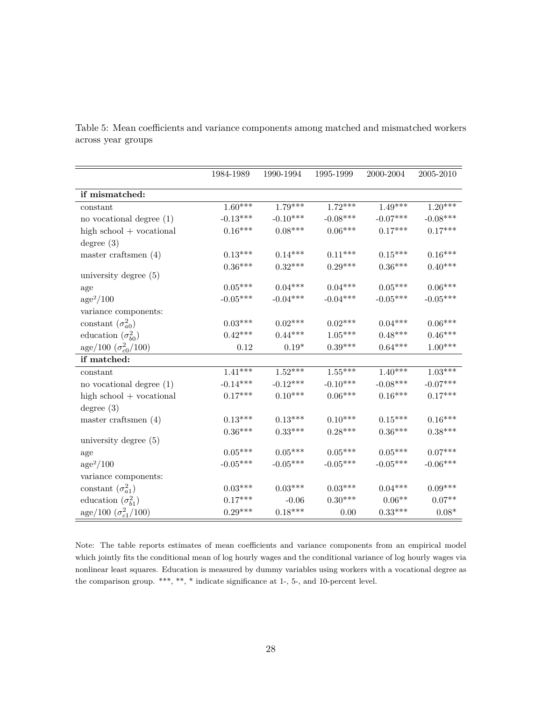|                               | 1984-1989  | 1990-1994  | 1995-1999  | 2000-2004  | 2005-2010  |
|-------------------------------|------------|------------|------------|------------|------------|
| if mismatched:                |            |            |            |            |            |
| constant                      | $1.60***$  | $1.79***$  | $1.72***$  | $1.49***$  | $1.20***$  |
| no vocational degree $(1)$    | $-0.13***$ | $-0.10***$ | $-0.08***$ | $-0.07***$ | $-0.08***$ |
| high $school + vocal$         | $0.16***$  | $0.08***$  | $0.06***$  | $0.17***$  | $0.17***$  |
| degree $(3)$                  |            |            |            |            |            |
| master craftsmen $(4)$        | $0.13***$  | $0.14***$  | $0.11***$  | $0.15***$  | $0.16***$  |
|                               | $0.36***$  | $0.32***$  | $0.29***$  | $0.36***$  | $0.40***$  |
| university degree $(5)$       |            |            |            |            |            |
| age                           | $0.05***$  | $0.04***$  | $0.04***$  | $0.05***$  | $0.06***$  |
| $age^2/100$                   | $-0.05***$ | $-0.04***$ | $-0.04***$ | $-0.05***$ | $-0.05***$ |
| variance components:          |            |            |            |            |            |
| constant $(\sigma_{a0}^2)$    | $0.03***$  | $0.02***$  | $0.02***$  | $0.04***$  | $0.06***$  |
| education $(\sigma_{b0}^2)$   | $0.42***$  | $0.44***$  | $1.05***$  | $0.48***$  | $0.46***$  |
| age/100 $(\sigma_{c0}^2/100)$ | 0.12       | $0.19*$    | $0.39***$  | $0.64***$  | $1.00***$  |
| if matched:                   |            |            |            |            |            |
| constant                      | $1.41***$  | $1.52***$  | $1.55***$  | $1.40***$  | $1.03***$  |
| no vocational degree $(1)$    | $-0.14***$ | $-0.12***$ | $-0.10***$ | $-0.08***$ | $-0.07***$ |
| high $school + vocal$         | $0.17***$  | $0.10***$  | $0.06***$  | $0.16***$  | $0.17***$  |
| degree $(3)$                  |            |            |            |            |            |
| master craftsmen $(4)$        | $0.13***$  | $0.13***$  | $0.10***$  | $0.15***$  | $0.16***$  |
|                               | $0.36***$  | $0.33***$  | $0.28***$  | $0.36***$  | $0.38***$  |
| university degree $(5)$       |            |            |            |            |            |
| age                           | $0.05***$  | $0.05***$  | $0.05***$  | $0.05***$  | $0.07***$  |
| $\rm age^2/100$               | $-0.05***$ | $-0.05***$ | $-0.05***$ | $-0.05***$ | $-0.06***$ |
| variance components:          |            |            |            |            |            |
| constant $(\sigma_{a1}^2)$    | $0.03***$  | $0.03***$  | $0.03***$  | $0.04***$  | $0.09***$  |
| education $(\sigma_{b1}^2)$   | $0.17***$  | $-0.06$    | $0.30***$  | $0.06**$   | $0.07**$   |
| age/100 $(\sigma_{c1}^2/100)$ | $0.29***$  | $0.18***$  | 0.00       | $0.33***$  | $0.08*$    |

Table 5: Mean coefficients and variance components among matched and mismatched workers across year groups

Note: The table reports estimates of mean coefficients and variance components from an empirical model which jointly fits the conditional mean of log hourly wages and the conditional variance of log hourly wages via nonlinear least squares. Education is measured by dummy variables using workers with a vocational degree as the comparison group. \*\*\*, \*\*, \* indicate significance at 1-, 5-, and 10-percent level.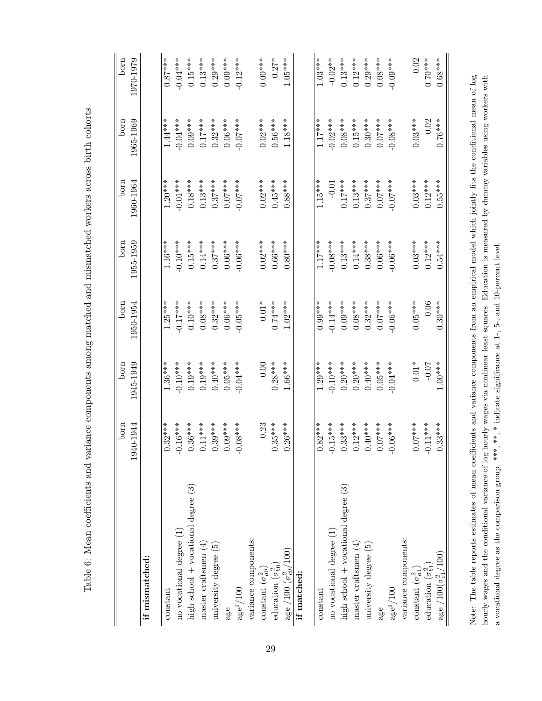|                                          | born<br>1940-1944     | 1945-1949<br>born | born<br>1950-1954 | 1955-1959<br>born | born<br>1960-1964 | 1965-1969<br>born | born<br>1970-1979 |
|------------------------------------------|-----------------------|-------------------|-------------------|-------------------|-------------------|-------------------|-------------------|
| if mismatched:                           |                       |                   |                   |                   |                   |                   |                   |
| constant                                 | $0.32***$             | $1.36***$         | $1.25***$         | $1.16***$         | $1.20***$         | $1.44***$         | $0.87***$         |
| no vocational degree (1)                 | $-0.16***$            | $-0.10***$        | $-0.17***$        | $-0.10***$        | $-0.01***$        | $-0.04***$        | $-0.04***$        |
| high school $+$ vocational degree $(3)$  | $0.36***$             | $0.19***$         | $0.10***$         | $0.15***$         | $0.18***$         | $0.09***$         | $0.15***$         |
| master craftsmen $(4)$                   | $0.11***$             | $0.19***$         | $0.08***$         | $0.14***$         | $0.13***$         | $0.17***$         | $0.13***$         |
| university degree $(5)$                  | $0.39***$             | $0.40***$         | $0.32***$         | $0.37***$         | $0.37***$         | $0.32***$         | $0.29***$         |
| age                                      | $0.09***$             | $0.05***$         | $0.06***$         | $0.06***$         | $0.07***$         | $0.06***$         | $0.09***$         |
| $\rm age^2/100$                          | $0.08***$             | $-0.04***$        | $-0.05***$        | $-0.06***$        | $-0.07***$        | $-0.07***$        | $-0.12***$        |
| variance components:                     |                       |                   |                   |                   |                   |                   |                   |
| constant $(\sigma_{a0}^2)$               | 0.23                  | 0.00              | $0.01\sp{*}$      | $0.02***$         | $0.02***$         | $0.02***$         | $0.00***$         |
| education $(\sigma_{b0}^2)$              | $0.35***$             | $0.28***$         | $0.74***$         | $0.66***$         | $0.45***$         | $0.56***$         | $0.27*$           |
| age /100 $(\sigma_{c0}^2/100)$           | $0.26***$             | $1.66***$         | $1.02***$         | $0.80***$         | $0.88***$         | $1.18***$         | $1.05***$         |
| if matched:                              |                       |                   |                   |                   |                   |                   |                   |
| $\rm constant$                           | $0.82***$             | $1.29***$         | $0.99***$         | $1.17***$         | $1.15***$         | $1.17***$         | $1.03***$         |
| no vocational degree (1)                 | $-0.15***$            | $-0.10***$        | $-0.14***$        | $-0.08***$        | $-0.01$           | $-0.02***$        | $-0.02**$         |
| high school $+$ vocational degree $(3)$  | $0.33***$             | $0.20***$         | $0.09***$         | $0.13***$         | $0.17***$         | $0.08***$         | $0.13***$         |
| master craftsmen $(4)$                   | $0.12***$             | $0.20***$         | $0.08***$         | $0.14***$         | $0.13***$         | $0.15***$         | $0.12***$         |
| university degree $(5)$                  | $0.40***$             | $0.40***$         | $0.32***$         | $0.38***$         | $0.37***$         | $0.30***$         | $0.29***$         |
| age                                      | $0.07***$             | $0.05***$         | $0.07***$         | $0.06***$         | $0.07***$         | $0.07***$         | $0.08***$         |
| $\rm age^2/100$                          | $0.06***$<br>$\Theta$ | $-0.04***$        | $-0.06***$        | $-0.06***$        | $****$<br>0.0     | $-0.08***$        | $-0.09***$        |
| variance components:                     |                       |                   |                   |                   |                   |                   |                   |
| constant $(\sigma_{a1}^2)$               | $0.07***$             | $0.01*$           | $0.05***$         | $0.03***$         | $0.03***$         | $0.03***$         | 0.02              |
| education $(\sigma_{b1}^2)$              | $-0.11***$            | $-0.07$           | 0.06              | $0.12***$         | $0.12***$         | 0.02              | $0.70***$         |
| $\rm{age}$ /100( $\sigma_{c1}^{2}$ /100) | $0.33***$             | $1.00***$         | $0.30***$         | $0.54***$         | $0.55***$         | $0.76***$         | $0.68***$         |

Table 6: Mean coefficients and variance components among matched and mismatched workers across birth cohorts

Table 6: Mean coefficients and variance components among matched and mismatched workers across birth cohorts

Note: The table reports estimates of mean coefficients and variance components from an empirical model which jointly fits the conditional mean of log hourly wages and the conditional variance of log hourly wages via nonlinear least squares. Education is measured by dummy variables using workers with a vocational degree as the comparison group. \*\*\*, \*\*, \* indicate signi Note: The table reports estimates of mean coefficients and variance components from an empirical model which jointly fits the conditional mean of log hourly wages and the conditional variance of log hourly wages via nonlinear least squares. Education is measured by dummy variables using workers with a vocational degree as the comparison group. \*\*\*, \*\*, \* indicate significance at 1-, 5-, and 10-percent level.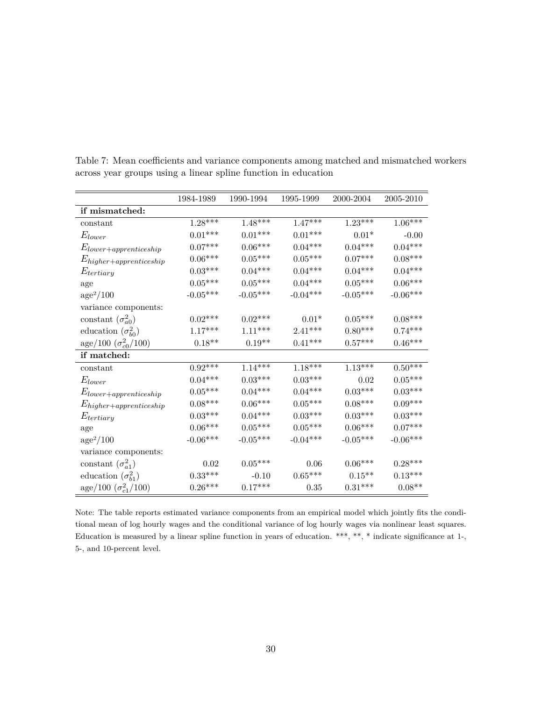|                                      | 1984-1989            | 1990-1994      | 1995-1999             | 2000-2004  | 2005-2010      |
|--------------------------------------|----------------------|----------------|-----------------------|------------|----------------|
| if mismatched:                       |                      |                |                       |            |                |
| constant                             | $1.28***$            | $1.48***$      | $1.47***$             | $1.23***$  | $1.06***$      |
| $E_{lower}$                          | $0.01***$            | $0.01***$      | $0.01***$             | $0.01*$    | $-0.00$        |
| $E_{lower+approx:eship}$             | $0.07***$            | $0.06***$      | $0.04***$             | $0.04***$  | $0.04***$      |
| $E_{higher+appropriateship}$         | $0.06***$            | $0.05^{***}\,$ | $0.05***$             | $0.07***$  | $0.08***$      |
| $E_{tertiary}$                       | $0.03***$            | $0.04***$      | $0.04***$             | $0.04***$  | $0.04***$      |
| age                                  | $0.05^{***}\,$       | $0.05***$      | $0.04***$             | $0.05***$  | $0.06***$      |
| $age^2/100$                          | $\text{-}0.05^{***}$ | $-0.05***$     | $-0.04***$            | $-0.05***$ | $-0.06***$     |
| variance components:                 |                      |                |                       |            |                |
| constant $(\sigma_{a0}^2)$           | $0.02***$            | $0.02***$      | $0.01*$               | $0.05***$  | $0.08***$      |
| education $(\sigma_{b0}^2)$          | $1.17***$            | $1.11***$      | $2.41***$             | $0.80***$  | $0.74***$      |
| $\rm{age}/100~(\sigma_{c0}^{2}/100)$ | $0.18**$             | $0.19**$       | $0.41***$             | $0.57***$  | $0.46***$      |
| if matched:                          |                      |                |                       |            |                |
| constant                             | $0.92***$            | $1.14***$      | $1.18***$             | $1.13***$  | $0.50***$      |
| $E_{lower}$                          | $0.04***$            | $0.03***$      | $0.03^{***}\,$        | 0.02       | $0.05^{***}\,$ |
| $E_{lower+approx:eship}$             | $0.05^{***}\,$       | $0.04***$      | $0.04***$             | $0.03***$  | $0.03^{***}\,$ |
| $E_{higher+appropriateship}$         | $0.08***$            | $0.06^{***}\,$ | $0.05^{***}\,$        | $0.08***$  | $0.09***$      |
| $E_{tertiary}$                       | $0.03***$            | $0.04***$      | $0.03***$             | $0.03***$  | $0.03^{***}\,$ |
| age                                  | $0.06***$            | $0.05***$      | $0.05^{***}\,$        | $0.06***$  | $0.07***$      |
| $\rm age^2/100$                      | $-0.06***$           | $-0.05***$     | $-0.04***$            | $-0.05***$ | $-0.06***$     |
| variance components:                 |                      |                |                       |            |                |
| constant $(\sigma_{a1}^2)$           | 0.02                 | $0.05***$      | 0.06                  | $0.06***$  | $0.28***$      |
| education $(\sigma_{h1}^2)$          | $0.33***$            | $-0.10$        | $0.65^{\ast\ast\ast}$ | $0.15**$   | $0.13^{***}\,$ |
| $\rm{age}/100~(\sigma_{c1}^{2}/100)$ | $0.26***$            | $0.17***$      | 0.35                  | $0.31***$  | $0.08**$       |

Table 7: Mean coefficients and variance components among matched and mismatched workers across year groups using a linear spline function in education

Note: The table reports estimated variance components from an empirical model which jointly fits the conditional mean of log hourly wages and the conditional variance of log hourly wages via nonlinear least squares. Education is measured by a linear spline function in years of education. \*\*\*, \*\*, \* indicate significance at 1-, 5-, and 10-percent level.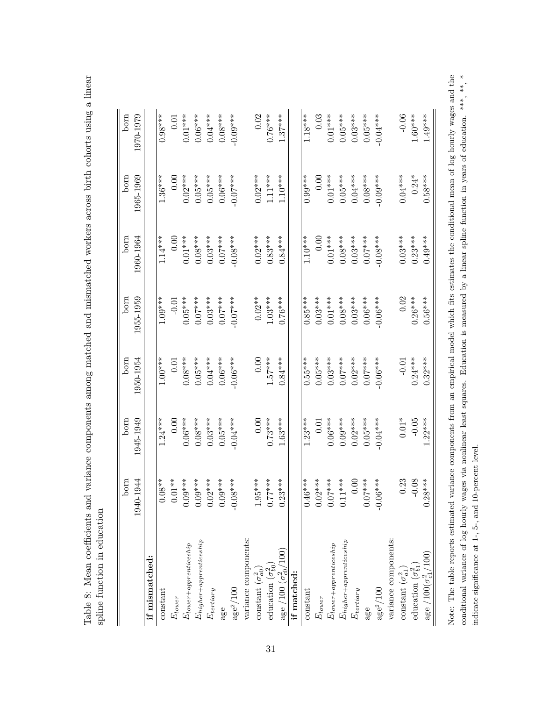Table 8: Mean coefficients and variance components among matched and mismatched workers across birth cohorts using a linear Table 8: Mean coefficients and variance components among matched and mismatched workers across birth cohorts using a linear spline function in education spline function in education

|                                         | born       | born         | born       | born       | born       | born       | born       |
|-----------------------------------------|------------|--------------|------------|------------|------------|------------|------------|
|                                         | 1940-1944  | 1945-1949    | 1950-1954  | 1955-1959  | 1960-1964  | 1965-1969  | 1970-1979  |
| if mismatched:                          |            |              |            |            |            |            |            |
| constant                                | $0.08**$   | $1.24***$    | $1.00***$  | $1.09***$  | $1.14***$  | $1.36***$  | $0.98***$  |
| $E_{lower}$                             | $0.01**$   | 0.00         | 0.01       | $-0.01$    | 0.00       | 0.00       | 0.01       |
| $E_{lower+approximation}$               | $0.09***$  | $0.06***$    | $0.08***$  | $0.05***$  | $0.01***$  | $0.02***$  | $0.01***$  |
| $E_{higher+approx}$                     | $0.09***$  | $0.08***$    | $0.05***$  | $0.07***$  | $0.08***$  | $0.05***$  | $0.06***$  |
| $E_{tertiary}$                          | $0.02***$  | $0.03***$    | $0.04***$  | $0.03***$  | $0.03***$  | $0.05***$  | $0.04***$  |
| age                                     | $0.09***$  | $0.05***$    | $0.06***$  | $0.07***$  | $0.07***$  | $0.06***$  | $0.08***$  |
| $\mathrm{age}^2/100$                    | $-0.08***$ | $-0.04***$   | $-0.06***$ | $-0.07***$ | $-0.08***$ | $-0.07***$ | $-0.09***$ |
| variance components:                    |            |              |            |            |            |            |            |
| constant $(\sigma_{a0}^2)$              | $1.95***$  | 0.00         | 0.00       | $0.02**$   | $0.02***$  | $0.02***$  | 0.02       |
| education $(\sigma_{b0}^2)$             | $0.77***$  | $0.73***$    | $1.57***$  | $1.03***$  | $0.83***$  | $1.11***$  | $0.76***$  |
| age /100 $(\sigma_{c0}^2/100)$          | $0.23***$  | $1.63***$    | $0.84***$  | $0.76***$  | $0.84***$  | $1.10***$  | $1.37***$  |
| if matched:                             |            |              |            |            |            |            |            |
| constant                                | $0.46***$  | $1.23***$    | $0.55***$  | $0.85***$  | $1.10***$  | $0.99***$  | $1.18***$  |
| $E_{lower}$                             | $0.02***$  | 0.01         | $0.05***$  | $0.03***$  | 0.00       | 0.00       | 0.03       |
| $E_{lower+approx}$                      | $0.07***$  | $0.06***$    | $0.03***$  | $0.01***$  | $0.01***$  | $0.01***$  | $0.01***$  |
| ${\it E}_{higher+approx}$               | $0.11***$  | $0.09***$    | $0.07***$  | $0.08***$  | $0.08***$  | $0.05***$  | $0.05***$  |
| $E_{tertiary}$                          | $0.00$     | $0.02***$    | $0.02***$  | $0.03***$  | $0.03***$  | $0.04***$  | $0.03***$  |
| age                                     | $0.07***$  | $0.05***$    | $0.07***$  | $0.06***$  | $0.07***$  | $0.08***$  | $0.05***$  |
| $\rm age^2/100$                         | $-0.06***$ | $-0.04***$   | $-0.06***$ | $-0.06***$ | $-0.08***$ | $-0.09***$ | $-0.04***$ |
| variance components:                    |            |              |            |            |            |            |            |
| constant $(\sigma_{a1}^2)$              | 0.23       | $0.01\sp{*}$ | $-0.01$    | 0.02       | $0.03***$  | $0.04***$  | $-0.06$    |
| education $(\sigma_{b1}^2)$             | $-0.08$    | $-0.05$      | $0.24***$  | $0.26***$  | $0.23***$  | $0.24*$    | $1.60***$  |
| $\rm{age}$ /100( $\sigma^{2}_{c1}/100)$ | $0.28***$  | $1.22***$    | $0.32***$  | $0.56***$  | $0.49***$  | $0.58***$  | $1.49***$  |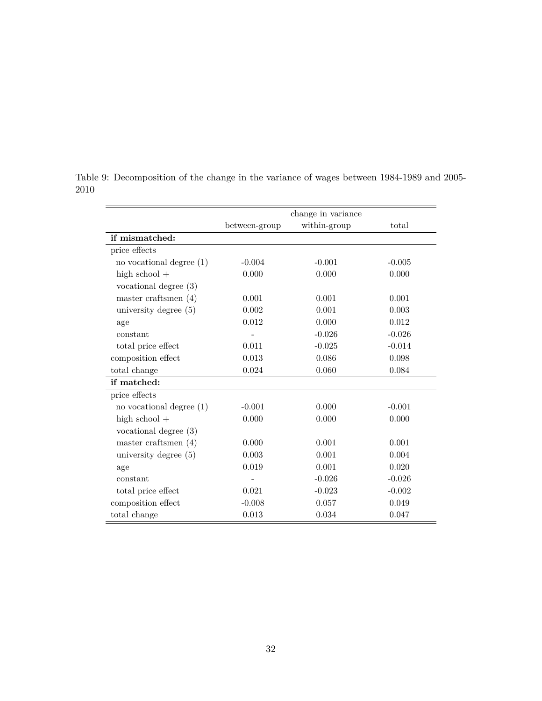|                            |               | change in variance |          |
|----------------------------|---------------|--------------------|----------|
|                            | between-group | within-group       | total    |
| if mismatched:             |               |                    |          |
| price effects              |               |                    |          |
| no vocational degree $(1)$ | $-0.004$      | $-0.001$           | $-0.005$ |
| high $school +$            | 0.000         | 0.000              | 0.000    |
| vocational degree $(3)$    |               |                    |          |
| master craftsmen $(4)$     | 0.001         | 0.001              | 0.001    |
| university degree $(5)$    | 0.002         | 0.001              | 0.003    |
| age                        | 0.012         | 0.000              | 0.012    |
| constant                   |               | $-0.026$           | $-0.026$ |
| total price effect         | 0.011         | $-0.025$           | $-0.014$ |
| composition effect         | 0.013         | 0.086              | 0.098    |
| total change               | 0.024         | 0.060              | 0.084    |
| if matched:                |               |                    |          |
| price effects              |               |                    |          |
| no vocational degree $(1)$ | $-0.001$      | 0.000              | $-0.001$ |
| high school $+$            | 0.000         | 0.000              | 0.000    |
| vocational degree $(3)$    |               |                    |          |
| master craftsmen $(4)$     | 0.000         | 0.001              | 0.001    |
| university degree $(5)$    | 0.003         | 0.001              | 0.004    |
| age                        | 0.019         | 0.001              | 0.020    |
| constant                   |               | $-0.026$           | $-0.026$ |
| total price effect         | 0.021         | $-0.023$           | $-0.002$ |
| composition effect         | $-0.008$      | 0.057              | 0.049    |
| total change               | 0.013         | 0.034              | 0.047    |

Table 9: Decomposition of the change in the variance of wages between 1984-1989 and 2005- 2010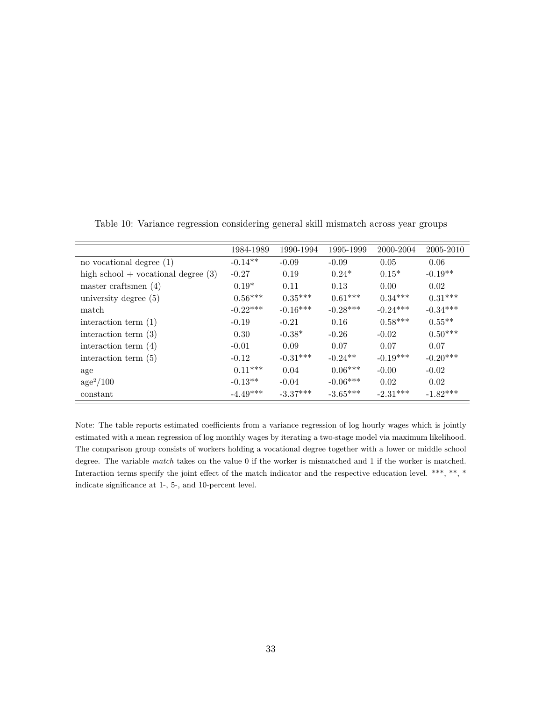|                                       | 1984-1989  | 1990-1994  | 1995-1999  | 2000-2004  | 2005-2010  |
|---------------------------------------|------------|------------|------------|------------|------------|
| no vocational degree $(1)$            | $-0.14**$  | $-0.09$    | $-0.09$    | 0.05       | 0.06       |
| high school $+$ vocational degree (3) | $-0.27$    | 0.19       | $0.24*$    | $0.15*$    | $-0.19**$  |
| master craftsmen $(4)$                | $0.19*$    | 0.11       | 0.13       | 0.00       | 0.02       |
| university degree (5)                 | $0.56***$  | $0.35***$  | $0.61***$  | $0.34***$  | $0.31***$  |
| match                                 | $-0.22***$ | $-0.16***$ | $-0.28***$ | $-0.24***$ | $-0.34***$ |
| interaction term $(1)$                | $-0.19$    | $-0.21$    | 0.16       | $0.58***$  | $0.55**$   |
| interaction term $(3)$                | 0.30       | $-0.38*$   | $-0.26$    | $-0.02$    | $0.50***$  |
| interaction term $(4)$                | $-0.01$    | 0.09       | 0.07       | 0.07       | 0.07       |
| interaction term $(5)$                | $-0.12$    | $-0.31***$ | $-0.24**$  | $-0.19***$ | $-0.20***$ |
| age                                   | $0.11***$  | 0.04       | $0.06***$  | $-0.00$    | $-0.02$    |
| $age^2/100$                           | $-0.13**$  | $-0.04$    | $-0.06***$ | 0.02       | 0.02       |
| constant                              | $-4.49***$ | $-3.37***$ | $-3.65***$ | $-2.31***$ | $-1.82***$ |

Table 10: Variance regression considering general skill mismatch across year groups

Note: The table reports estimated coefficients from a variance regression of log hourly wages which is jointly estimated with a mean regression of log monthly wages by iterating a two-stage model via maximum likelihood. The comparison group consists of workers holding a vocational degree together with a lower or middle school degree. The variable *match* takes on the value 0 if the worker is mismatched and 1 if the worker is matched. Interaction terms specify the joint effect of the match indicator and the respective education level. \*\*\*, \*\*, \* indicate significance at 1-, 5-, and 10-percent level.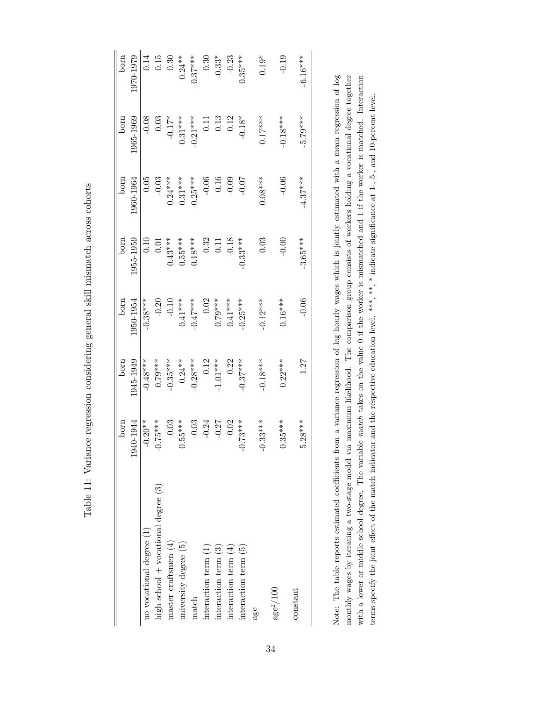Table 11: Variance regression considering general skill mismatch across cohorts Table 11: Variance regression considering general skill mismatch across cohorts

|                                         | born           | born       | born          | born              | born       | born       | born       |
|-----------------------------------------|----------------|------------|---------------|-------------------|------------|------------|------------|
|                                         | 1940-1944      | 945-1949   | $.950 - 1954$ | 1955-1959         | 1960-1964  | 965-1969   | 1970-1979  |
| no vocational degree (1)                | $-0.20**$      | $-0.48***$ | $-0.38***$    | 0.10              | 0.05       | $-0.08$    | 0.14       |
| high school $+$ vocational degree $(3)$ | $0.75***$<br>T | $0.79***$  | $-0.20$       | $0.01\,$          | $-0.03$    | 0.03       | 0.15       |
| master craftsmen $(4)$                  | 0.03           | $-0.35***$ | $-0.10$       | $0.43***$         | $0.24***$  | $-0.17*$   | 0.30       |
| university degree $(5)$                 | $0.55***$      | $0.24***$  | $0.41***$     | $0.55***$         | $0.31***$  | $0.31***$  | $0.24***$  |
| $\mathbf{m}$ atc $\mathbf{h}$           | $-0.03$        | $-0.28***$ | $-0.47***$    | $-0.18***$        | $-0.25***$ | $-0.21***$ | $-0.37***$ |
| interaction term $(1)$                  | $-0.24$        | 0.12       | 0.02          | 0.32              | $-0.06$    | 0.11       | 0.30       |
| interaction term $(3)$                  | $-0.27$        | $-1.01***$ | $0.79***$     | $\overline{0.11}$ | 0.16       | 0.13       | $-0.33*$   |
| interaction term $(4)$                  | 0.02           | 0.22       | $0.41***$     | $-0.18$           | $-0.09$    | 0.12       | $-0.23$    |
| interaction term (5)                    | $0.73***$<br>ī | $-0.37***$ | $-0.25***$    | $-0.33***$        | $-0.07$    | $-0.18*$   | $0.35***$  |
| age                                     | $-0.33***$     | $-0.18***$ | $-0.12***$    | 0.03              | $0.08***$  | $0.17***$  | $0.19*$    |
| $\mathrm{age}^2/100$                    | $0.35***$      | $0.22***$  | $0.16***$     | $-0.00$           | $-0.06$    | $-0.18***$ | $-0.19$    |
| constant                                | $5.28***$      | 1.27       | $-0.06$       | $-3.65***$        | $-4.37***$ | $-5.79***$ | $-6.16***$ |
|                                         |                |            |               |                   |            |            |            |

Note: The table reports estimated coefficients from a variance regression of log hourly wages which is jointly estimated with a mean regression of log monthly wages by iterating a two-stage model via maximum likelihood. The comparison group consists of workers holding a vocational degree together with a lower or middle school degree. The variable match takes on the value 0 if the worker is mismatched and 1 if the worker is matched. Interaction with a lower or middle school degree. The variable *match* takes on the value 0 if the worker is mismatched and 1 if the worker is matched. Interaction Note: The table reports estimated coefficients from a variance regression of log hourly wages which is jointly estimated with a mean regression of log monthly wages by iterating a two-stage model via maximum likelihood. The comparison group consists of workers holding a vocational degree together terms specify the joint effect of the match indicator and the respective education level. \*\*\*, \*\* indicate significance at 1-, 5-, and 10-percent level. terms specify the joint effect of the match indicator and the respective education level. \*\*\*, \*\*, \* indicate significance at 1-, 5-, and 10-percent level.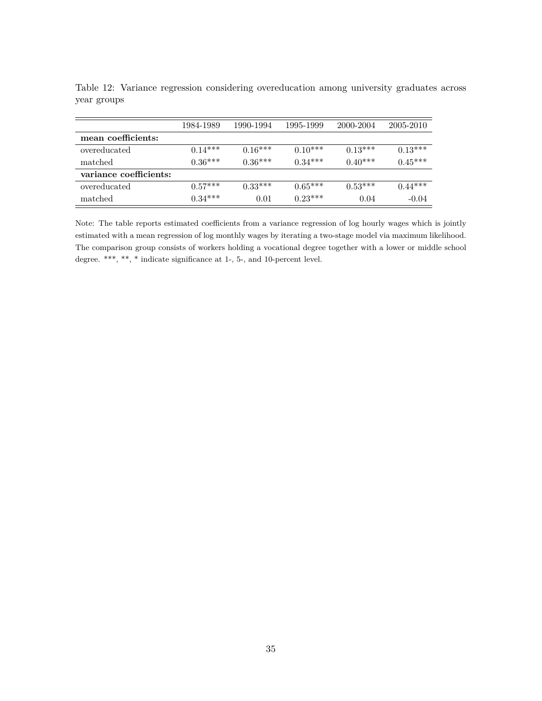|                        | 1984-1989 | 1990-1994 | 1995-1999 | 2000-2004 | 2005-2010 |
|------------------------|-----------|-----------|-----------|-----------|-----------|
| mean coefficients:     |           |           |           |           |           |
| overeducated           | $0.14***$ | $0.16***$ | $0.10***$ | $0.13***$ | $0.13***$ |
| matched                | $0.36***$ | $0.36***$ | $0.34***$ | $0.40***$ | $0.45***$ |
| variance coefficients: |           |           |           |           |           |
| overeducated           | $0.57***$ | $0.33***$ | $0.65***$ | $0.53***$ | $0.44***$ |
| matched                | $0.34***$ | 0.01      | $0.23***$ | 0.04      | $-0.04$   |

Table 12: Variance regression considering overeducation among university graduates across year groups

Note: The table reports estimated coefficients from a variance regression of log hourly wages which is jointly estimated with a mean regression of log monthly wages by iterating a two-stage model via maximum likelihood. The comparison group consists of workers holding a vocational degree together with a lower or middle school degree. \*\*\*, \*\*, \* indicate significance at 1-, 5-, and 10-percent level.